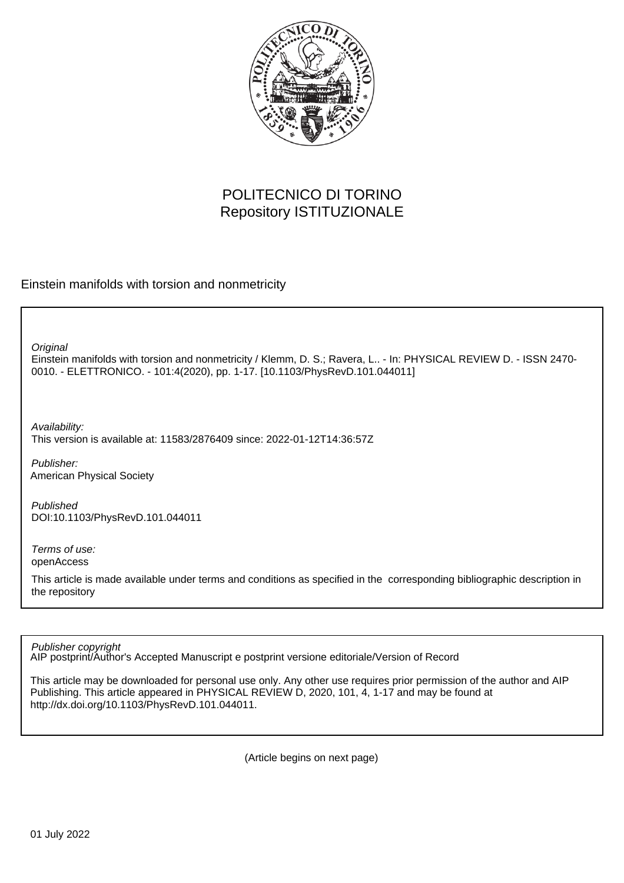

# POLITECNICO DI TORINO Repository ISTITUZIONALE

Einstein manifolds with torsion and nonmetricity

**Original** 

Einstein manifolds with torsion and nonmetricity / Klemm, D. S.; Ravera, L.. - In: PHYSICAL REVIEW D. - ISSN 2470- 0010. - ELETTRONICO. - 101:4(2020), pp. 1-17. [10.1103/PhysRevD.101.044011]

Availability:

This version is available at: 11583/2876409 since: 2022-01-12T14:36:57Z

Publisher: American Physical Society

Published DOI:10.1103/PhysRevD.101.044011

Terms of use: openAccess

This article is made available under terms and conditions as specified in the corresponding bibliographic description in the repository

Publisher copyright

AIP postprint/Author's Accepted Manuscript e postprint versione editoriale/Version of Record

This article may be downloaded for personal use only. Any other use requires prior permission of the author and AIP Publishing. This article appeared in PHYSICAL REVIEW D, 2020, 101, 4, 1-17 and may be found at http://dx.doi.org/10.1103/PhysRevD.101.044011.

(Article begins on next page)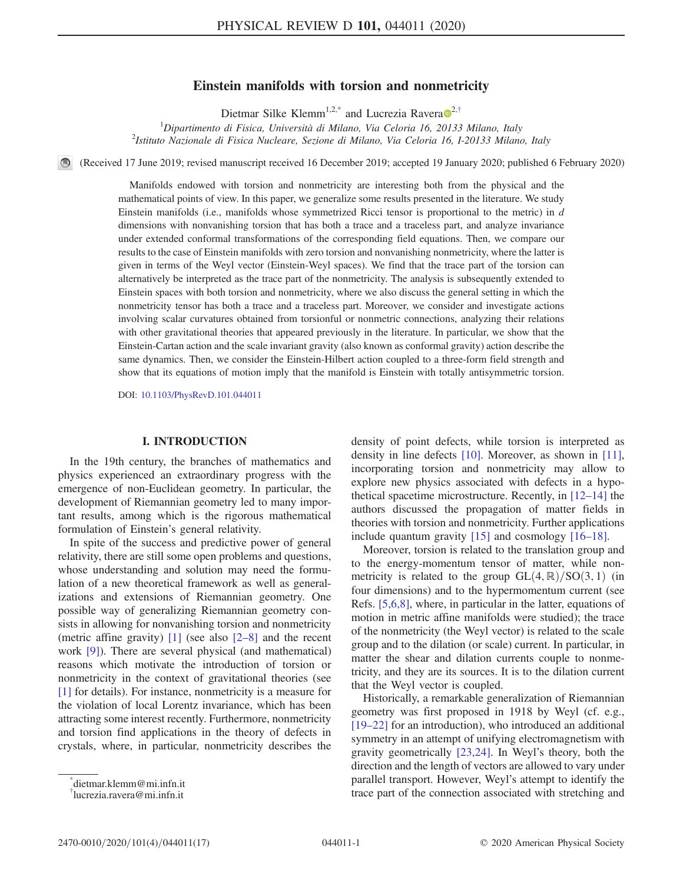# Einstein manifolds with torsion and nonmetricity

Dietmar Silke Klemm<sup>1,[2](https://orcid.org/0000-0003-4516-5127),\*</sup> and Lucrezia Ravera $\mathbf{Q}^{2,\dagger}$ 

<sup>1</sup>Dipartimento di Fisica, Università di Milano, Via Celoria 16, 20133 Milano, Italy<br><sup>2</sup>Istitute Nazionale di Fisica Nueleane, Sezione di Milano, Via Celoria 16, 120122 Milano  $^{2}$ Istituto Nazionale di Fisica Nucleare, Sezione di Milano, Via Celoria 16, I-20133 Milano, Italy

 $\circledR$ (Received 17 June 2019; revised manuscript received 16 December 2019; accepted 19 January 2020; published 6 February 2020)

> Manifolds endowed with torsion and nonmetricity are interesting both from the physical and the mathematical points of view. In this paper, we generalize some results presented in the literature. We study Einstein manifolds (i.e., manifolds whose symmetrized Ricci tensor is proportional to the metric) in d dimensions with nonvanishing torsion that has both a trace and a traceless part, and analyze invariance under extended conformal transformations of the corresponding field equations. Then, we compare our results to the case of Einstein manifolds with zero torsion and nonvanishing nonmetricity, where the latter is given in terms of the Weyl vector (Einstein-Weyl spaces). We find that the trace part of the torsion can alternatively be interpreted as the trace part of the nonmetricity. The analysis is subsequently extended to Einstein spaces with both torsion and nonmetricity, where we also discuss the general setting in which the nonmetricity tensor has both a trace and a traceless part. Moreover, we consider and investigate actions involving scalar curvatures obtained from torsionful or nonmetric connections, analyzing their relations with other gravitational theories that appeared previously in the literature. In particular, we show that the Einstein-Cartan action and the scale invariant gravity (also known as conformal gravity) action describe the same dynamics. Then, we consider the Einstein-Hilbert action coupled to a three-form field strength and show that its equations of motion imply that the manifold is Einstein with totally antisymmetric torsion.

DOI: [10.1103/PhysRevD.101.044011](https://doi.org/10.1103/PhysRevD.101.044011)

# I. INTRODUCTION

In the 19th century, the branches of mathematics and physics experienced an extraordinary progress with the emergence of non-Euclidean geometry. In particular, the development of Riemannian geometry led to many important results, among which is the rigorous mathematical formulation of Einstein's general relativity.

In spite of the success and predictive power of general relativity, there are still some open problems and questions, whose understanding and solution may need the formulation of a new theoretical framework as well as generalizations and extensions of Riemannian geometry. One possible way of generalizing Riemannian geometry consists in allowing for nonvanishing torsion and nonmetricity (metric affine gravity) [1] (see also [2–8] and the recent work [9]). There are several physical (and mathematical) reasons which motivate the introduction of torsion or nonmetricity in the context of gravitational theories (see [1] for details). For instance, nonmetricity is a measure for the violation of local Lorentz invariance, which has been attracting some interest recently. Furthermore, nonmetricity and torsion find applications in the theory of defects in crystals, where, in particular, nonmetricity describes the density of point defects, while torsion is interpreted as density in line defects [10]. Moreover, as shown in [11], incorporating torsion and nonmetricity may allow to explore new physics associated with defects in a hypothetical spacetime microstructure. Recently, in [12–14] the authors discussed the propagation of matter fields in theories with torsion and nonmetricity. Further applications include quantum gravity [15] and cosmology [16–18].

Moreover, torsion is related to the translation group and to the energy-momentum tensor of matter, while nonmetricity is related to the group  $GL(4, \mathbb{R})/SO(3, 1)$  (in four dimensions) and to the hypermomentum current (see Refs. [5,6,8], where, in particular in the latter, equations of motion in metric affine manifolds were studied); the trace of the nonmetricity (the Weyl vector) is related to the scale group and to the dilation (or scale) current. In particular, in matter the shear and dilation currents couple to nonmetricity, and they are its sources. It is to the dilation current that the Weyl vector is coupled.

Historically, a remarkable generalization of Riemannian geometry was first proposed in 1918 by Weyl (cf. e.g., [19–22] for an introduction), who introduced an additional symmetry in an attempt of unifying electromagnetism with gravity geometrically [23,24]. In Weyl's theory, both the direction and the length of vectors are allowed to vary under parallel transport. However, Weyl's attempt to identify the trace part of the connection associated with stretching and

<sup>\*</sup> dietmar.klemm@mi.infn.it

<sup>†</sup> lucrezia.ravera@mi.infn.it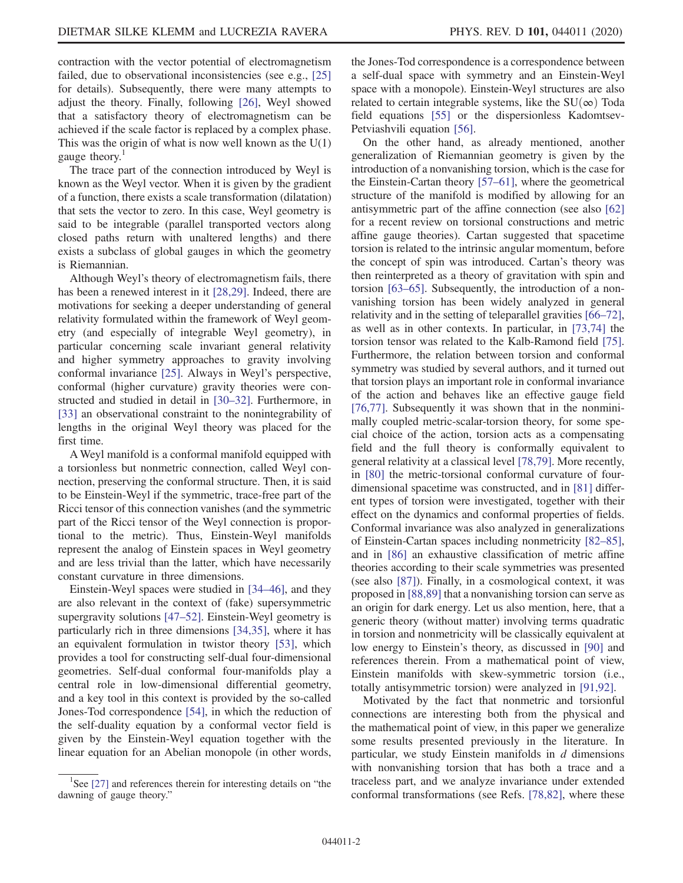contraction with the vector potential of electromagnetism failed, due to observational inconsistencies (see e.g., [25] for details). Subsequently, there were many attempts to adjust the theory. Finally, following [26], Weyl showed that a satisfactory theory of electromagnetism can be achieved if the scale factor is replaced by a complex phase. This was the origin of what is now well known as the  $U(1)$ gauge theory.<sup>1</sup>

The trace part of the connection introduced by Weyl is known as the Weyl vector. When it is given by the gradient of a function, there exists a scale transformation (dilatation) that sets the vector to zero. In this case, Weyl geometry is said to be integrable (parallel transported vectors along closed paths return with unaltered lengths) and there exists a subclass of global gauges in which the geometry is Riemannian.

Although Weyl's theory of electromagnetism fails, there has been a renewed interest in it [28,29]. Indeed, there are motivations for seeking a deeper understanding of general relativity formulated within the framework of Weyl geometry (and especially of integrable Weyl geometry), in particular concerning scale invariant general relativity and higher symmetry approaches to gravity involving conformal invariance [25]. Always in Weyl's perspective, conformal (higher curvature) gravity theories were constructed and studied in detail in [30–32]. Furthermore, in [33] an observational constraint to the nonintegrability of lengths in the original Weyl theory was placed for the first time.

A Weyl manifold is a conformal manifold equipped with a torsionless but nonmetric connection, called Weyl connection, preserving the conformal structure. Then, it is said to be Einstein-Weyl if the symmetric, trace-free part of the Ricci tensor of this connection vanishes (and the symmetric part of the Ricci tensor of the Weyl connection is proportional to the metric). Thus, Einstein-Weyl manifolds represent the analog of Einstein spaces in Weyl geometry and are less trivial than the latter, which have necessarily constant curvature in three dimensions.

Einstein-Weyl spaces were studied in [34–46], and they are also relevant in the context of (fake) supersymmetric supergravity solutions [47–52]. Einstein-Weyl geometry is particularly rich in three dimensions [34,35], where it has an equivalent formulation in twistor theory [53], which provides a tool for constructing self-dual four-dimensional geometries. Self-dual conformal four-manifolds play a central role in low-dimensional differential geometry, and a key tool in this context is provided by the so-called Jones-Tod correspondence [54], in which the reduction of the self-duality equation by a conformal vector field is given by the Einstein-Weyl equation together with the linear equation for an Abelian monopole (in other words, the Jones-Tod correspondence is a correspondence between a self-dual space with symmetry and an Einstein-Weyl space with a monopole). Einstein-Weyl structures are also related to certain integrable systems, like the  $SU(\infty)$  Toda field equations [55] or the dispersionless Kadomtsev-Petviashvili equation [56].

On the other hand, as already mentioned, another generalization of Riemannian geometry is given by the introduction of a nonvanishing torsion, which is the case for the Einstein-Cartan theory [57–61], where the geometrical structure of the manifold is modified by allowing for an antisymmetric part of the affine connection (see also [62] for a recent review on torsional constructions and metric affine gauge theories). Cartan suggested that spacetime torsion is related to the intrinsic angular momentum, before the concept of spin was introduced. Cartan's theory was then reinterpreted as a theory of gravitation with spin and torsion [63–65]. Subsequently, the introduction of a nonvanishing torsion has been widely analyzed in general relativity and in the setting of teleparallel gravities [66–72], as well as in other contexts. In particular, in [73,74] the torsion tensor was related to the Kalb-Ramond field [75]. Furthermore, the relation between torsion and conformal symmetry was studied by several authors, and it turned out that torsion plays an important role in conformal invariance of the action and behaves like an effective gauge field [76,77]. Subsequently it was shown that in the nonminimally coupled metric-scalar-torsion theory, for some special choice of the action, torsion acts as a compensating field and the full theory is conformally equivalent to general relativity at a classical level [78,79]. More recently, in [80] the metric-torsional conformal curvature of fourdimensional spacetime was constructed, and in [81] different types of torsion were investigated, together with their effect on the dynamics and conformal properties of fields. Conformal invariance was also analyzed in generalizations of Einstein-Cartan spaces including nonmetricity [82–85], and in [86] an exhaustive classification of metric affine theories according to their scale symmetries was presented (see also [87]). Finally, in a cosmological context, it was proposed in [88,89] that a nonvanishing torsion can serve as an origin for dark energy. Let us also mention, here, that a generic theory (without matter) involving terms quadratic in torsion and nonmetricity will be classically equivalent at low energy to Einstein's theory, as discussed in [90] and references therein. From a mathematical point of view, Einstein manifolds with skew-symmetric torsion (i.e., totally antisymmetric torsion) were analyzed in [91,92].

Motivated by the fact that nonmetric and torsionful connections are interesting both from the physical and the mathematical point of view, in this paper we generalize some results presented previously in the literature. In particular, we study Einstein manifolds in  $d$  dimensions with nonvanishing torsion that has both a trace and a traceless part, and we analyze invariance under extended conformal transformations (see Refs. [78,82], where these

<sup>&</sup>lt;sup>1</sup>See [27] and references therein for interesting details on "the dawning of gauge theory."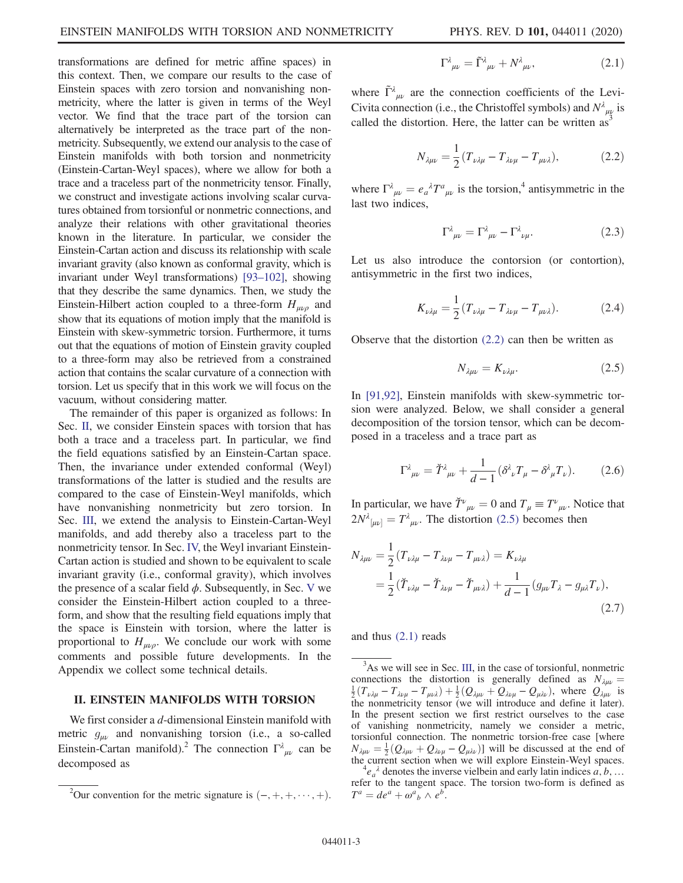transformations are defined for metric affine spaces) in this context. Then, we compare our results to the case of Einstein spaces with zero torsion and nonvanishing nonmetricity, where the latter is given in terms of the Weyl vector. We find that the trace part of the torsion can alternatively be interpreted as the trace part of the nonmetricity. Subsequently, we extend our analysis to the case of Einstein manifolds with both torsion and nonmetricity (Einstein-Cartan-Weyl spaces), where we allow for both a trace and a traceless part of the nonmetricity tensor. Finally, we construct and investigate actions involving scalar curvatures obtained from torsionful or nonmetric connections, and analyze their relations with other gravitational theories known in the literature. In particular, we consider the Einstein-Cartan action and discuss its relationship with scale invariant gravity (also known as conformal gravity, which is invariant under Weyl transformations) [93–102], showing that they describe the same dynamics. Then, we study the Einstein-Hilbert action coupled to a three-form  $H_{\mu\nu\rho}$  and show that its equations of motion imply that the manifold is Einstein with skew-symmetric torsion. Furthermore, it turns out that the equations of motion of Einstein gravity coupled to a three-form may also be retrieved from a constrained action that contains the scalar curvature of a connection with torsion. Let us specify that in this work we will focus on the vacuum, without considering matter.

The remainder of this paper is organized as follows: In Sec. II, we consider Einstein spaces with torsion that has both a trace and a traceless part. In particular, we find the field equations satisfied by an Einstein-Cartan space. Then, the invariance under extended conformal (Weyl) transformations of the latter is studied and the results are compared to the case of Einstein-Weyl manifolds, which have nonvanishing nonmetricity but zero torsion. In Sec. III, we extend the analysis to Einstein-Cartan-Weyl manifolds, and add thereby also a traceless part to the nonmetricity tensor. In Sec. IV, the Weyl invariant Einstein-Cartan action is studied and shown to be equivalent to scale invariant gravity (i.e., conformal gravity), which involves the presence of a scalar field  $\phi$ . Subsequently, in Sec. V we consider the Einstein-Hilbert action coupled to a threeform, and show that the resulting field equations imply that the space is Einstein with torsion, where the latter is proportional to  $H_{\mu\nu\rho}$ . We conclude our work with some comments and possible future developments. In the Appendix we collect some technical details.

#### II. EINSTEIN MANIFOLDS WITH TORSION

We first consider a d-dimensional Einstein manifold with metric  $g_{\mu\nu}$  and nonvanishing torsion (i.e., a so-called Einstein-Cartan manifold).<sup>2</sup> The connection  $\Gamma^{\lambda}{}_{\mu\nu}$  can be decomposed as

$$
\Gamma^{\lambda}{}_{\mu\nu} = \tilde{\Gamma}^{\lambda}{}_{\mu\nu} + N^{\lambda}{}_{\mu\nu},\tag{2.1}
$$

where  $\tilde{\Gamma}^{\lambda}{}_{\mu\nu}$  are the connection coefficients of the Levi-Civita connection (i.e., the Christoffel symbols) and  $N^{\lambda}{}_{\mu\nu}$  is called the distortion. Here, the latter can be written as

$$
N_{\lambda\mu\nu} = \frac{1}{2} (T_{\nu\lambda\mu} - T_{\lambda\nu\mu} - T_{\mu\nu\lambda}),
$$
 (2.2)

where  $\Gamma^{\lambda}{}_{\mu\nu} = e_a^{\lambda} T^a{}_{\mu\nu}$  is the torsion,<sup>4</sup> antisymmetric in the last two indices last two indices,

$$
\Gamma^{\lambda}{}_{\mu\nu} = \Gamma^{\lambda}{}_{\mu\nu} - \Gamma^{\lambda}{}_{\nu\mu}.
$$
 (2.3)

Let us also introduce the contorsion (or contortion), antisymmetric in the first two indices,

$$
K_{\nu\lambda\mu} = \frac{1}{2} (T_{\nu\lambda\mu} - T_{\lambda\nu\mu} - T_{\mu\nu\lambda}).
$$
 (2.4)

Observe that the distortion (2.2) can then be written as

$$
N_{\lambda\mu\nu} = K_{\nu\lambda\mu}.\tag{2.5}
$$

In [91,92], Einstein manifolds with skew-symmetric torsion were analyzed. Below, we shall consider a general decomposition of the torsion tensor, which can be decomposed in a traceless and a trace part as

$$
\Gamma^{\lambda}{}_{\mu\nu} = \breve{T}^{\lambda}{}_{\mu\nu} + \frac{1}{d-1} (\delta^{\lambda}{}_{\nu} T_{\mu} - \delta^{\lambda}{}_{\mu} T_{\nu}). \tag{2.6}
$$

In particular, we have  $\tilde{T}^{\nu}_{\mu\nu} = 0$  and  $T_{\mu} \equiv T^{\nu}_{\mu\nu}$ . Notice that  $2N^{\lambda}{}_{[\mu\nu]} = T^{\lambda}{}_{\mu\nu}$ . The distortion (2.5) becomes then

$$
N_{\lambda\mu\nu} = \frac{1}{2} (T_{\nu\lambda\mu} - T_{\lambda\nu\mu} - T_{\mu\nu\lambda}) = K_{\nu\lambda\mu}
$$
  
=  $\frac{1}{2} (\check{T}_{\nu\lambda\mu} - \check{T}_{\lambda\nu\mu} - \check{T}_{\mu\nu\lambda}) + \frac{1}{d-1} (g_{\mu\nu} T_{\lambda} - g_{\mu\lambda} T_{\nu}),$  (2.7)

and thus (2.1) reads

<sup>&</sup>lt;sup>2</sup>Our convention for the metric signature is  $(-, +, +, \dots, +)$ .

<sup>&</sup>lt;sup>3</sup>As we will see in Sec. III, in the case of torsionful, nonmetric connections the distortion is generally defined as  $N_{\lambda\mu\nu} = \frac{1}{T} (T - T - T) + \frac{1}{2} (Q - Q)$  where  $Q_{\lambda}$  is  $\frac{1}{2}(T_{\nu\lambda\mu} - T_{\lambda\nu\mu} - T_{\mu\nu\lambda}) + \frac{1}{2}(Q_{\lambda\mu\nu} + Q_{\lambda\nu\mu} - Q_{\mu\lambda\nu})$ , where  $Q_{\lambda\mu\nu}$  is the nonmetricity tensor (we will introduce and define it later). In the present section we first restrict ourselves to the case of vanishing nonmetricity, namely we consider a metric, torsionful connection. The nonmetric torsion-free case [where  $N_{\lambda\mu\nu} = \frac{1}{2} (Q_{\lambda\mu\nu} + Q_{\lambda\nu\mu} - Q_{\mu\lambda\nu})$ ] will be discussed at the end of the current section when we will explore Finstein-Weyl spaces the current section when we will explore Einstein-Weyl spaces.  $e_a^{\lambda}$  denotes the inverse vielbein and early latin indices  $a, b, ...$ 

refer to the tangent space. The torsion two-form is defined as  $T^a = de^a + \omega^a{}_b \wedge e^b.$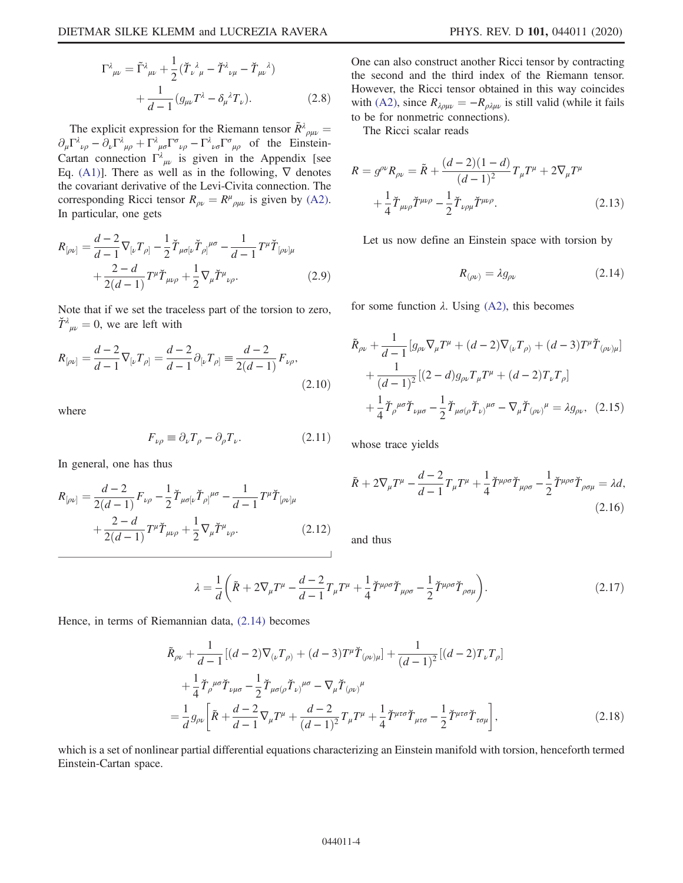$$
\Gamma^{\lambda}{}_{\mu\nu} = \tilde{\Gamma}^{\lambda}{}_{\mu\nu} + \frac{1}{2} (\tilde{T}_{\nu}{}^{\lambda}{}_{\mu} - \tilde{T}^{\lambda}{}_{\nu\mu} - \tilde{T}_{\mu\nu}{}^{\lambda}) + \frac{1}{d-1} (g_{\mu\nu} T^{\lambda} - \delta_{\mu}{}^{\lambda} T_{\nu}).
$$
\n(2.8)

The explicit expression for the Riemann tensor  $\tilde{R}^{\lambda}_{\ \rho\mu\nu} =$ The explicit expression for the Kientalin tensor  $R^{\rho\mu\nu} = \partial_{\mu} \Gamma^{\lambda}{}_{\nu\rho} - \partial_{\nu} \Gamma^{\lambda}{}_{\mu\rho} + \Gamma^{\lambda}{}_{\mu\sigma} \Gamma^{\sigma}{}_{\nu\rho} - \Gamma^{\lambda}{}_{\nu\sigma} \Gamma^{\sigma}{}_{\mu\rho}$  of the Einstein-Cartan connection  $\Gamma^{\lambda}{}_{\mu\nu}$  is given in the Appendix [see Eq. (A1)]. There as well as in the following,  $\nabla$  denotes the covariant derivative of the Levi-Civita connection. The corresponding Ricci tensor  $R_{\rho\nu} = R^{\mu}{}_{\rho\mu\nu}$  is given by (A2).<br>In particular, one gets In particular, one gets

$$
R_{[\rho\nu]} = \frac{d-2}{d-1} \nabla_{[\nu} T_{\rho]} - \frac{1}{2} \tilde{T}_{\mu\sigma[\nu} \tilde{T}_{\rho]}^{\mu\sigma} - \frac{1}{d-1} T^{\mu} \tilde{T}_{[\rho\nu]\mu} + \frac{2-d}{2(d-1)} T^{\mu} \tilde{T}_{\mu\nu\rho} + \frac{1}{2} \nabla_{\mu} \tilde{T}^{\mu}{}_{\nu\rho}.
$$
 (2.9)

Note that if we set the traceless part of the torsion to zero,  $\check{T}^{\lambda}{}_{\mu\nu} = 0$ , we are left with

$$
R_{[\rho\nu]} = \frac{d-2}{d-1} \nabla_{[\nu} T_{\rho]} = \frac{d-2}{d-1} \partial_{[\nu} T_{\rho]} \equiv \frac{d-2}{2(d-1)} F_{\nu\rho},
$$
\n(2.10)

where

$$
F_{\nu\rho} \equiv \partial_{\nu} T_{\rho} - \partial_{\rho} T_{\nu}.
$$
 (2.11)

In general, one has thus

$$
R_{[\rho\nu]} = \frac{d-2}{2(d-1)} F_{\nu\rho} - \frac{1}{2} \breve{T}_{\mu\sigma[\nu} \breve{T}_{\rho]}^{\mu\sigma} - \frac{1}{d-1} T^{\mu} \breve{T}_{[\rho\nu]\mu} + \frac{2-d}{2(d-1)} T^{\mu} \breve{T}_{\mu\nu\rho} + \frac{1}{2} \nabla_{\mu} \breve{T}^{\mu}{}_{\nu\rho}.
$$
 (2.12)

One can also construct another Ricci tensor by contracting the second and the third index of the Riemann tensor. However, the Ricci tensor obtained in this way coincides with (A2), since  $R_{\lambda\rho\mu\nu} = -R_{\rho\lambda\mu\nu}$  is still valid (while it fails to be for nonmetric connections).

The Ricci scalar reads

$$
R = g^{\rho\nu} R_{\rho\nu} = \tilde{R} + \frac{(d-2)(1-d)}{(d-1)^2} T_{\mu} T^{\mu} + 2 \nabla_{\mu} T^{\mu} + \frac{1}{4} \tilde{T}_{\mu\nu\rho} \tilde{T}^{\mu\nu\rho} - \frac{1}{2} \tilde{T}_{\nu\rho\mu} \tilde{T}^{\mu\nu\rho}.
$$
 (2.13)

Let us now define an Einstein space with torsion by

$$
R_{(\rho\nu)} = \lambda g_{\rho\nu} \tag{2.14}
$$

for some function  $\lambda$ . Using (A2), this becomes

$$
\tilde{R}_{\rho\nu} + \frac{1}{d-1} \left[ g_{\rho\nu} \nabla_{\mu} T^{\mu} + (d-2) \nabla_{(\nu} T_{\rho)} + (d-3) T^{\mu} \tilde{T}_{(\rho\nu)\mu} \right] \n+ \frac{1}{(d-1)^2} \left[ (2-d) g_{\rho\nu} T_{\mu} T^{\mu} + (d-2) T_{\nu} T_{\rho} \right] \n+ \frac{1}{4} \tilde{T}_{\rho}^{\mu\sigma} \tilde{T}_{\nu\mu\sigma} - \frac{1}{2} \tilde{T}_{\mu\sigma(\rho} \tilde{T}_{\nu)}^{\mu\sigma} - \nabla_{\mu} \tilde{T}_{(\rho\nu)}^{\mu} = \lambda g_{\rho\nu}, \quad (2.15)
$$

whose trace yields

$$
\tilde{R} + 2\nabla_{\mu}T^{\mu} - \frac{d-2}{d-1}T_{\mu}T^{\mu} + \frac{1}{4}\tilde{T}^{\mu\rho\sigma}\tilde{T}_{\mu\rho\sigma} - \frac{1}{2}\tilde{T}^{\mu\rho\sigma}\tilde{T}_{\rho\sigma\mu} = \lambda d,
$$
\n(2.16)

and thus

$$
\lambda = \frac{1}{d} \left( \tilde{R} + 2\nabla_{\mu} T^{\mu} - \frac{d-2}{d-1} T_{\mu} T^{\mu} + \frac{1}{4} \tilde{T}^{\mu\rho\sigma} \tilde{T}_{\mu\rho\sigma} - \frac{1}{2} \tilde{T}^{\mu\rho\sigma} \tilde{T}_{\rho\sigma\mu} \right).
$$
\n(2.17)

Hence, in terms of Riemannian data, (2.14) becomes

$$
\tilde{R}_{\rho\nu} + \frac{1}{d-1} [(d-2)\nabla_{(\nu} T_{\rho)} + (d-3)T^{\mu} \tilde{T}_{(\rho\nu)\mu}] + \frac{1}{(d-1)^2} [(d-2)T_{\nu} T_{\rho}] \n+ \frac{1}{4} \tilde{T}_{\rho}^{\mu\sigma} \tilde{T}_{\nu\mu\sigma} - \frac{1}{2} \tilde{T}_{\mu\sigma(\rho} \tilde{T}_{\nu)}^{\mu\sigma} - \nabla_{\mu} \tilde{T}_{(\rho\nu)}^{\mu} \n= \frac{1}{d} g_{\rho\nu} \left[ \tilde{R} + \frac{d-2}{d-1} \nabla_{\mu} T^{\mu} + \frac{d-2}{(d-1)^2} T_{\mu} T^{\mu} + \frac{1}{4} \tilde{T}^{\mu\tau\sigma} \tilde{T}_{\mu\tau\sigma} - \frac{1}{2} \tilde{T}^{\mu\tau\sigma} \tilde{T}_{\tau\sigma\mu} \right],
$$
\n(2.18)

which is a set of nonlinear partial differential equations characterizing an Einstein manifold with torsion, henceforth termed Einstein-Cartan space.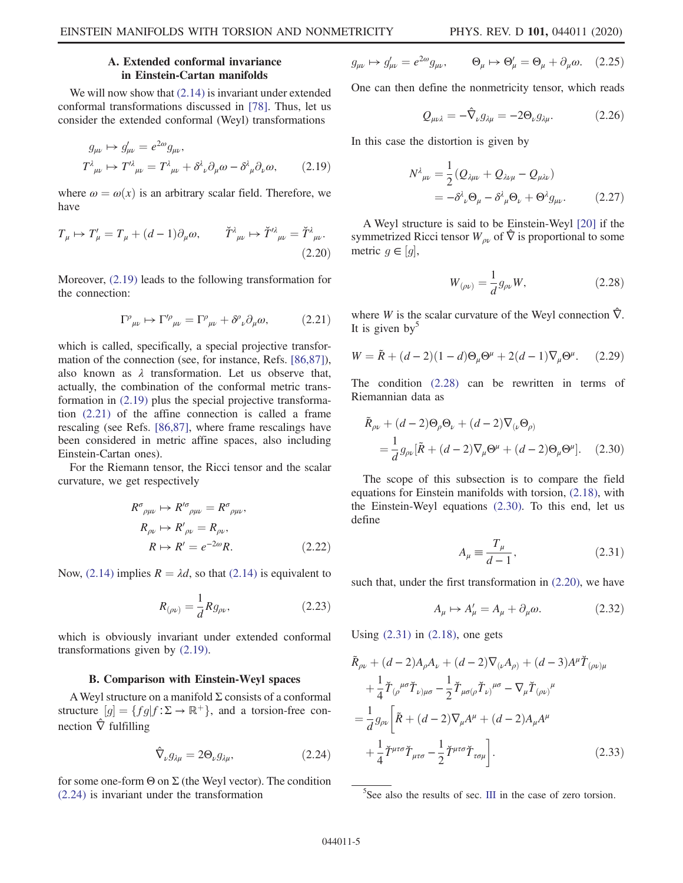# A. Extended conformal invariance in Einstein-Cartan manifolds

We will now show that  $(2.14)$  is invariant under extended conformal transformations discussed in [78]. Thus, let us consider the extended conformal (Weyl) transformations

$$
g_{\mu\nu} \mapsto g'_{\mu\nu} = e^{2\omega} g_{\mu\nu},
$$
  
\n
$$
T^{\lambda}{}_{\mu\nu} \mapsto T'^{\lambda}{}_{\mu\nu} = T^{\lambda}{}_{\mu\nu} + \delta^{\lambda}{}_{\nu} \partial_{\mu} \omega - \delta^{\lambda}{}_{\mu} \partial_{\nu} \omega,
$$
\n(2.19)

where  $\omega = \omega(x)$  is an arbitrary scalar field. Therefore, we have

$$
T_{\mu} \mapsto T'_{\mu} = T_{\mu} + (d - 1)\partial_{\mu}\omega, \qquad \check{T}^{\lambda}{}_{\mu\nu} \mapsto \check{T}'^{\lambda}{}_{\mu\nu} = \check{T}^{\lambda}{}_{\mu\nu}.
$$
\n(2.20)

Moreover, (2.19) leads to the following transformation for the connection:

$$
\Gamma^{\rho}{}_{\mu\nu} \mapsto \Gamma^{\prime \rho}{}_{\mu\nu} = \Gamma^{\rho}{}_{\mu\nu} + \delta^{\rho}{}_{\nu} \partial_{\mu} \omega, \tag{2.21}
$$

which is called, specifically, a special projective transformation of the connection (see, for instance, Refs. [86,87]), also known as  $\lambda$  transformation. Let us observe that, actually, the combination of the conformal metric transformation in (2.19) plus the special projective transformation (2.21) of the affine connection is called a frame rescaling (see Refs. [86,87], where frame rescalings have been considered in metric affine spaces, also including Einstein-Cartan ones).

For the Riemann tensor, the Ricci tensor and the scalar curvature, we get respectively

$$
R^{\sigma}{}_{\rho\mu\nu} \mapsto R^{\prime\sigma}{}_{\rho\mu\nu} = R^{\sigma}{}_{\rho\mu\nu},
$$
  
\n
$$
R_{\rho\nu} \mapsto R^{\prime}{}_{\rho\nu} = R_{\rho\nu},
$$
  
\n
$$
R \mapsto R^{\prime} = e^{-2\omega} R.
$$
\n(2.22)

Now, (2.14) implies  $R = \lambda d$ , so that (2.14) is equivalent to

$$
R_{(\rho\nu)} = \frac{1}{d} R g_{\rho\nu},
$$
\n(2.23)

which is obviously invariant under extended conformal transformations given by (2.19).

#### B. Comparison with Einstein-Weyl spaces

A Weyl structure on a manifold  $\Sigma$  consists of a conformal structure  $[g] = \{fg | f : \Sigma \to \mathbb{R}^+\}$ , and a torsion-free con-<br>mastion  $\hat{\Sigma}$  falfilling nection  $\hat{\nabla}$  fulfilling

$$
\hat{\nabla}_{\nu}g_{\lambda\mu} = 2\Theta_{\nu}g_{\lambda\mu},\tag{2.24}
$$

for some one-form  $\Theta$  on  $\Sigma$  (the Weyl vector). The condition (2.24) is invariant under the transformation

$$
g_{\mu\nu} \mapsto g'_{\mu\nu} = e^{2\omega} g_{\mu\nu}, \qquad \Theta_{\mu} \mapsto \Theta'_{\mu} = \Theta_{\mu} + \partial_{\mu}\omega. \quad (2.25)
$$

One can then define the nonmetricity tensor, which reads

$$
Q_{\mu\nu\lambda} = -\hat{\nabla}_{\nu} g_{\lambda\mu} = -2\Theta_{\nu} g_{\lambda\mu}.
$$
 (2.26)

In this case the distortion is given by

$$
N^{\lambda}_{\ \mu\nu} = \frac{1}{2} (Q_{\lambda\mu\nu} + Q_{\lambda\nu\mu} - Q_{\mu\lambda\nu})
$$
  
=  $-\delta^{\lambda}_{\ \nu} \Theta_{\mu} - \delta^{\lambda}_{\ \mu} \Theta_{\nu} + \Theta^{\lambda} g_{\mu\nu}.$  (2.27)

A Weyl structure is said to be Einstein-Weyl [20] if the symmetrized Ricci tensor  $W_{\rho\nu}$  of  $\hat{\nabla}$  is proportional to some metric  $g \in [g]$ ,

$$
W_{(\rho\nu)} = \frac{1}{d} g_{\rho\nu} W,\tag{2.28}
$$

where W is the scalar curvature of the Weyl connection  $\overline{V}$ . It is given by $5$ 

$$
W = \tilde{R} + (d-2)(1-d)\Theta_{\mu}\Theta^{\mu} + 2(d-1)\nabla_{\mu}\Theta^{\mu}.
$$
 (2.29)

The condition (2.28) can be rewritten in terms of Riemannian data as

$$
\tilde{R}_{\rho\nu} + (d-2)\Theta_{\rho}\Theta_{\nu} + (d-2)\nabla_{(\nu}\Theta_{\rho)} \n= \frac{1}{d}g_{\rho\nu}[\tilde{R} + (d-2)\nabla_{\mu}\Theta^{\mu} + (d-2)\Theta_{\mu}\Theta^{\mu}].
$$
\n(2.30)

The scope of this subsection is to compare the field equations for Einstein manifolds with torsion, (2.18), with the Einstein-Weyl equations (2.30). To this end, let us define

$$
A_{\mu} \equiv \frac{T_{\mu}}{d - 1},\tag{2.31}
$$

such that, under the first transformation in  $(2.20)$ , we have

$$
A_{\mu} \mapsto A'_{\mu} = A_{\mu} + \partial_{\mu}\omega. \tag{2.32}
$$

Using  $(2.31)$  in  $(2.18)$ , one gets

$$
\tilde{R}_{\rho\nu} + (d - 2)A_{\rho}A_{\nu} + (d - 2)\nabla_{(\nu}A_{\rho)} + (d - 3)A^{\mu}\tilde{T}_{(\rho\nu)\mu} \n+ \frac{1}{4}\tilde{T}_{(\rho}{}^{\mu\sigma}\tilde{T}_{\nu)\mu\sigma} - \frac{1}{2}\tilde{T}_{\mu\sigma(\rho}\tilde{T}_{\nu)}{}^{\mu\sigma} - \nabla_{\mu}\tilde{T}_{(\rho\nu)}{}^{\mu} \n= \frac{1}{d}g_{\rho\nu}\left[\tilde{R} + (d - 2)\nabla_{\mu}A^{\mu} + (d - 2)A_{\mu}A^{\mu} \n+ \frac{1}{4}\tilde{T}^{\mu\tau\sigma}\tilde{T}_{\mu\tau\sigma} - \frac{1}{2}\tilde{T}^{\mu\tau\sigma}\tilde{T}_{\tau\sigma\mu}\right].
$$
\n(2.33)

 $5$ See also the results of sec. III in the case of zero torsion.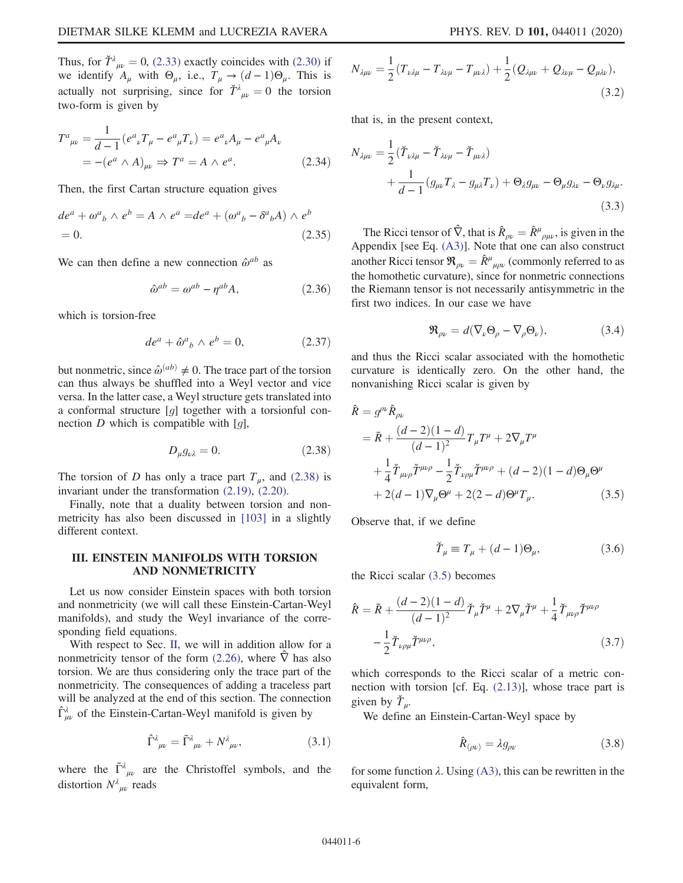Thus, for  $\tilde{T}^{\lambda}_{\mu\nu} = 0$ , (2.33) exactly coincides with (2.30) if<br>we identify A with  $\Theta$  i.e.  $T \rightarrow (d-1)\Theta$ . This is we identify  $A_{\mu}$  with  $\Theta_{\mu}$ , i.e.,  $T_{\mu} \rightarrow (d-1)\Theta_{\mu}$ . This is actually not surprising, since for  $\tilde{T}^{\lambda}{}_{\mu\nu} = 0$  the torsion<br>two-form is given by two-form is given by

$$
T^{a}{}_{\mu\nu} = \frac{1}{d-1} (e^{a}{}_{\nu} T_{\mu} - e^{a}{}_{\mu} T_{\nu}) = e^{a}{}_{\nu} A_{\mu} - e^{a}{}_{\mu} A_{\nu}
$$
  
= - (e^{a} \wedge A)\_{\mu\nu} \Rightarrow T^{a} = A \wedge e^{a}. (2.34)

Then, the first Cartan structure equation gives

$$
de^{a} + \omega^{a}{}_{b} \wedge e^{b} = A \wedge e^{a} = de^{a} + (\omega^{a}{}_{b} - \delta^{a}{}_{b}A) \wedge e^{b}
$$
  
= 0. (2.35)

We can then define a new connection  $\hat{\omega}^{ab}$  as

$$
\hat{\omega}^{ab} = \omega^{ab} - \eta^{ab} A, \qquad (2.36)
$$

which is torsion-free

$$
de^a + \hat{\omega}^a{}_b \wedge e^b = 0, \qquad (2.37)
$$

but nonmetric, since  $\hat{\omega}^{(ab)} \neq 0$ . The trace part of the torsion can thus always be shuffled into a Weyl vector and vice versa. In the latter case, a Weyl structure gets translated into a conformal structure [g] together with a torsionful connection  $D$  which is compatible with  $[q]$ ,

$$
D_{\mu}g_{\nu\lambda} = 0. \tag{2.38}
$$

The torsion of D has only a trace part  $T_{\mu}$ , and (2.38) is invariant under the transformation (2.19), (2.20).

Finally, note that a duality between torsion and nonmetricity has also been discussed in [103] in a slightly different context.

# III. EINSTEIN MANIFOLDS WITH TORSION AND NONMETRICITY

Let us now consider Einstein spaces with both torsion and nonmetricity (we will call these Einstein-Cartan-Weyl manifolds), and study the Weyl invariance of the corresponding field equations.

With respect to Sec. II, we will in addition allow for a nonmetricity tensor of the form  $(2.26)$ , where  $\nabla$  has also torsion. We are thus considering only the trace part of the nonmetricity. The consequences of adding a traceless part will be analyzed at the end of this section. The connection  $\hat{\Gamma}^{\lambda}_{\mu\nu}$  of the Einstein-Cartan-Weyl manifold is given by

$$
\hat{\Gamma}^{\lambda}{}_{\mu\nu} = \tilde{\Gamma}^{\lambda}{}_{\mu\nu} + N^{\lambda}{}_{\mu\nu},\tag{3.1}
$$

where the  $\tilde{\Gamma}^{\lambda}{}_{\mu\nu}$  are the Christoffel symbols, and the distortion  $N^{\lambda}{}_{\mu\nu}$  reads

$$
\frac{1}{2}
$$

$$
N_{\lambda\mu\nu} = \frac{1}{2} (T_{\nu\lambda\mu} - T_{\lambda\nu\mu} - T_{\mu\nu\lambda}) + \frac{1}{2} (Q_{\lambda\mu\nu} + Q_{\lambda\nu\mu} - Q_{\mu\lambda\nu}),
$$
\n(3.2)

that is, in the present context,

$$
N_{\lambda\mu\nu} = \frac{1}{2} (\breve{T}_{\nu\lambda\mu} - \breve{T}_{\lambda\nu\mu} - \breve{T}_{\mu\nu\lambda})
$$
  
+ 
$$
\frac{1}{d-1} (g_{\mu\nu} T_{\lambda} - g_{\mu\lambda} T_{\nu}) + \Theta_{\lambda} g_{\mu\nu} - \Theta_{\mu} g_{\lambda\nu} - \Theta_{\nu} g_{\lambda\mu}.
$$
  
(3.3)

The Ricci tensor of  $\hat{\nabla}$ , that is  $\hat{R}_{\rho\nu} = \hat{R}^{\mu}{}_{\rho\mu\nu}$ , is given in the prendix [see Eq. (A3)]. Note that one can also construct Appendix [see Eq. (A3)]. Note that one can also construct another Ricci tensor  $\mathfrak{R}_{\rho\nu} = \hat{R}^{\mu}_{\mu\rho\nu}$  (commonly referred to as the homothetic curvature), since for nonmetric connections the Riemann tensor is not necessarily antisymmetric in the first two indices. In our case we have

$$
\mathfrak{R}_{\rho\nu} = d(\nabla_{\nu}\Theta_{\rho} - \nabla_{\rho}\Theta_{\nu}),\tag{3.4}
$$

and thus the Ricci scalar associated with the homothetic curvature is identically zero. On the other hand, the nonvanishing Ricci scalar is given by

$$
\hat{R} = g^{\rho\nu} \hat{R}_{\rho\nu} \n= \tilde{R} + \frac{(d-2)(1-d)}{(d-1)^2} T_{\mu} T^{\mu} + 2 \nabla_{\mu} T^{\mu} \n+ \frac{1}{4} \tilde{T}_{\mu\nu\rho} \tilde{T}^{\mu\nu\rho} - \frac{1}{2} \tilde{T}_{\nu\rho\mu} \tilde{T}^{\mu\nu\rho} + (d-2)(1-d) \Theta_{\mu} \Theta^{\mu} \n+ 2(d-1) \nabla_{\mu} \Theta^{\mu} + 2(2-d) \Theta^{\mu} T_{\mu}.
$$
\n(3.5)

Observe that, if we define

$$
\check{T}_{\mu} \equiv T_{\mu} + (d - 1)\Theta_{\mu},\tag{3.6}
$$

the Ricci scalar (3.5) becomes

$$
\hat{R} = \tilde{R} + \frac{(d-2)(1-d)}{(d-1)^2} \tilde{T}_{\mu} \tilde{T}^{\mu} + 2 \nabla_{\mu} \tilde{T}^{\mu} + \frac{1}{4} \tilde{T}_{\mu\nu\rho} \tilde{T}^{\mu\nu\rho} - \frac{1}{2} \tilde{T}_{\nu\rho\mu} \tilde{T}^{\mu\nu\rho},
$$
\n(3.7)

which corresponds to the Ricci scalar of a metric connection with torsion [cf. Eq. (2.13)], whose trace part is given by  $\dot{T}_{\mu}$ .

We define an Einstein-Cartan-Weyl space by

$$
\hat{R}_{(\rho\nu)} = \lambda g_{\rho\nu} \tag{3.8}
$$

for some function  $\lambda$ . Using (A3), this can be rewritten in the equivalent form,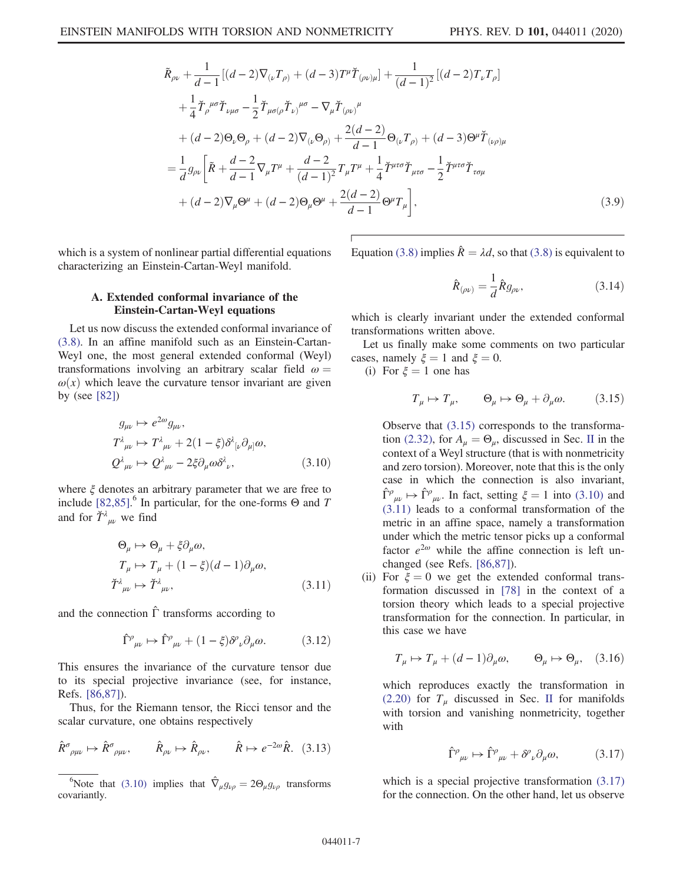$$
\tilde{R}_{\rho\nu} + \frac{1}{d-1} [(d-2)\nabla_{(\nu} T_{\rho)} + (d-3)T^{\mu}\tilde{T}_{(\rho\nu)\mu}] + \frac{1}{(d-1)^2} [(d-2)T_{\nu} T_{\rho}] \n+ \frac{1}{4} \tilde{T}_{\rho}^{\mu\sigma} \tilde{T}_{\nu\mu\sigma} - \frac{1}{2} \tilde{T}_{\mu\sigma(\rho} \tilde{T}_{\nu)}^{\mu\sigma} - \nabla_{\mu} \tilde{T}_{(\rho\nu)}^{\mu} \n+ (d-2)\Theta_{\nu}\Theta_{\rho} + (d-2)\nabla_{(\nu}\Theta_{\rho)} + \frac{2(d-2)}{d-1} \Theta_{(\nu} T_{\rho)} + (d-3)\Theta^{\mu} \tilde{T}_{(\nu\rho)\mu} \n= \frac{1}{d} g_{\rho\nu} \left[ \tilde{R} + \frac{d-2}{d-1} \nabla_{\mu} T^{\mu} + \frac{d-2}{(d-1)^2} T_{\mu} T^{\mu} + \frac{1}{4} \tilde{T}^{\mu\tau\sigma} \tilde{T}_{\mu\tau\sigma} - \frac{1}{2} \tilde{T}^{\mu\tau\sigma} \tilde{T}_{\tau\sigma\mu} \n+ (d-2)\nabla_{\mu}\Theta^{\mu} + (d-2)\Theta_{\mu}\Theta^{\mu} + \frac{2(d-2)}{d-1} \Theta^{\mu} T_{\mu} \right],
$$
\n(3.9)

which is a system of nonlinear partial differential equations characterizing an Einstein-Cartan-Weyl manifold.

#### A. Extended conformal invariance of the Einstein-Cartan-Weyl equations

Let us now discuss the extended conformal invariance of (3.8). In an affine manifold such as an Einstein-Cartan-Weyl one, the most general extended conformal (Weyl) transformations involving an arbitrary scalar field  $\omega =$  $\omega(x)$  which leave the curvature tensor invariant are given by (see [82])

$$
g_{\mu\nu} \mapsto e^{2\omega} g_{\mu\nu},
$$
  
\n
$$
T^{\lambda}{}_{\mu\nu} \mapsto T^{\lambda}{}_{\mu\nu} + 2(1 - \xi)\delta^{\lambda}{}_{[\nu}\partial_{\mu]} \omega,
$$
  
\n
$$
Q^{\lambda}{}_{\mu\nu} \mapsto Q^{\lambda}{}_{\mu\nu} - 2\xi\partial_{\mu}\omega\delta^{\lambda}{}_{\nu},
$$
\n(3.10)

where  $\xi$  denotes an arbitrary parameter that we are free to include [82,85].<sup>6</sup> In particular, for the one-forms  $\Theta$  and T and for  $\check{T}^{\lambda}{}_{\mu\nu}$  we find

$$
\Theta_{\mu} \mapsto \Theta_{\mu} + \xi \partial_{\mu} \omega,
$$
  
\n
$$
T_{\mu} \mapsto T_{\mu} + (1 - \xi)(d - 1)\partial_{\mu} \omega,
$$
  
\n
$$
\check{T}^{\lambda}{}_{\mu\nu} \mapsto \check{T}^{\lambda}{}_{\mu\nu},
$$
\n(3.11)

and the connection  $\hat{\Gamma}$  transforms according to

$$
\hat{\Gamma}^{\rho}{}_{\mu\nu} \mapsto \hat{\Gamma}^{\rho}{}_{\mu\nu} + (1 - \xi) \delta^{\rho}{}_{\nu} \partial_{\mu} \omega. \tag{3.12}
$$

This ensures the invariance of the curvature tensor due to its special projective invariance (see, for instance, Refs. [86,87]).

Thus, for the Riemann tensor, the Ricci tensor and the scalar curvature, one obtains respectively

$$
\hat{R}^{\sigma}{}_{\rho\mu\nu} \mapsto \hat{R}^{\sigma}{}_{\rho\mu\nu}, \qquad \hat{R}{}_{\rho\nu} \mapsto \hat{R}{}_{\rho\nu}, \qquad \hat{R} \mapsto e^{-2\omega} \hat{R}. \tag{3.13}
$$

<sup>6</sup>Note that (3.10) implies that  $\hat{\nabla}_{\mu} g_{\nu\rho} = 2\Theta_{\mu} g_{\nu\rho}$  transforms variantly. covariantly.

Equation (3.8) implies  $\hat{R} = \lambda d$ , so that (3.8) is equivalent to

$$
\hat{R}_{(\rho\nu)} = \frac{1}{d}\hat{R}g_{\rho\nu},
$$
\n(3.14)

which is clearly invariant under the extended conformal transformations written above.

Let us finally make some comments on two particular cases, namely  $\xi = 1$  and  $\xi = 0$ .

(i) For  $\xi = 1$  one has

$$
T_{\mu} \mapsto T_{\mu}, \qquad \Theta_{\mu} \mapsto \Theta_{\mu} + \partial_{\mu}\omega. \tag{3.15}
$$

Observe that (3.15) corresponds to the transformation (2.32), for  $A_u = \Theta_u$ , discussed in Sec. II in the context of a Weyl structure (that is with nonmetricity and zero torsion). Moreover, note that this is the only case in which the connection is also invariant,  $\hat{\Gamma}^{\rho}_{\mu\nu} \mapsto \hat{\Gamma}^{\rho}_{\mu\nu}$ . In fact, setting  $\xi = 1$  into (3.10) and<br>(3.11) leads to a conformal transformation of the (3.11) leads to a conformal transformation of the metric in an affine space, namely a transformation under which the metric tensor picks up a conformal factor  $e^{2\omega}$  while the affine connection is left unchanged (see Refs. [86,87]).

(ii) For  $\xi = 0$  we get the extended conformal transformation discussed in [78] in the context of a torsion theory which leads to a special projective transformation for the connection. In particular, in this case we have

$$
T_{\mu} \mapsto T_{\mu} + (d - 1)\partial_{\mu}\omega, \qquad \Theta_{\mu} \mapsto \Theta_{\mu}, \quad (3.16)
$$

which reproduces exactly the transformation in (2.20) for  $T_{\mu}$  discussed in Sec. II for manifolds with torsion and vanishing nonmetricity, together with

$$
\hat{\Gamma}^{\rho}_{\ \mu\nu} \mapsto \hat{\Gamma}^{\rho}_{\ \mu\nu} + \delta^{\rho}_{\ \nu} \partial_{\mu} \omega, \tag{3.17}
$$

which is a special projective transformation  $(3.17)$ for the connection. On the other hand, let us observe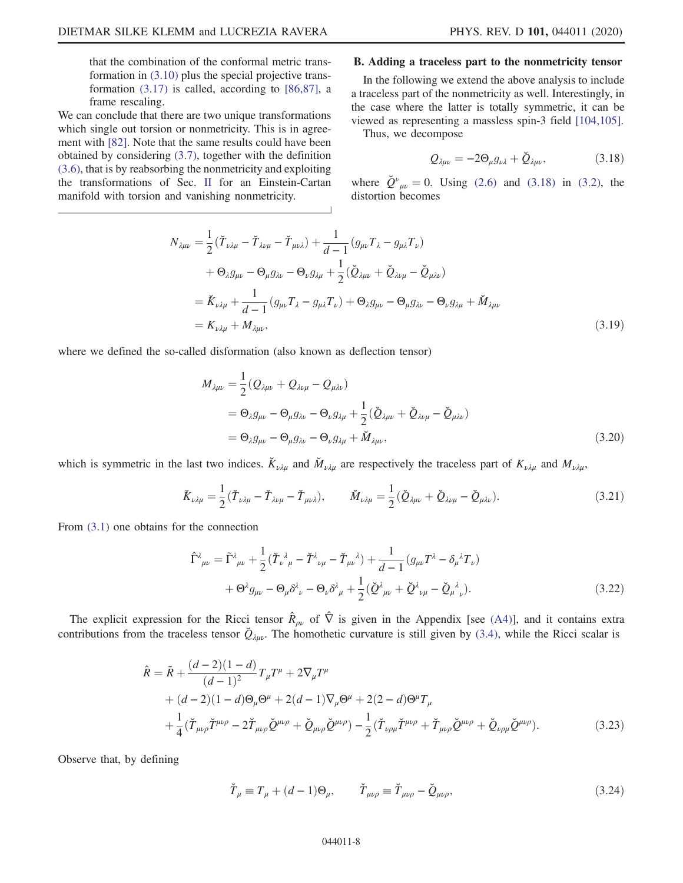that the combination of the conformal metric transformation in (3.10) plus the special projective transformation  $(3.17)$  is called, according to  $[86,87]$ , a frame rescaling.

We can conclude that there are two unique transformations which single out torsion or nonmetricity. This is in agreement with [82]. Note that the same results could have been obtained by considering (3.7), together with the definition (3.6), that is by reabsorbing the nonmetricity and exploiting the transformations of Sec. II for an Einstein-Cartan manifold with torsion and vanishing nonmetricity.

# B. Adding a traceless part to the nonmetricity tensor

In the following we extend the above analysis to include a traceless part of the nonmetricity as well. Interestingly, in the case where the latter is totally symmetric, it can be viewed as representing a massless spin-3 field [104,105].

Thus, we decompose

$$
Q_{\lambda\mu\nu} = -2\Theta_{\mu}g_{\nu\lambda} + \check{Q}_{\lambda\mu\nu}, \qquad (3.18)
$$

where  $\check{Q}^{\nu}{}_{\mu\nu} = 0$ . Using (2.6) and (3.18) in (3.2), the distortion becomes distortion becomes

$$
N_{\lambda\mu\nu} = \frac{1}{2} (\breve{T}_{\nu\lambda\mu} - \breve{T}_{\lambda\nu\mu} - \breve{T}_{\mu\nu\lambda}) + \frac{1}{d-1} (g_{\mu\nu} T_{\lambda} - g_{\mu\lambda} T_{\nu}) + \Theta_{\lambda} g_{\mu\nu} - \Theta_{\mu} g_{\lambda\nu} - \Theta_{\nu} g_{\lambda\mu} + \frac{1}{2} (\breve{Q}_{\lambda\mu\nu} + \breve{Q}_{\lambda\nu\mu} - \breve{Q}_{\mu\lambda\nu}) = \breve{K}_{\nu\lambda\mu} + \frac{1}{d-1} (g_{\mu\nu} T_{\lambda} - g_{\mu\lambda} T_{\nu}) + \Theta_{\lambda} g_{\mu\nu} - \Theta_{\mu} g_{\lambda\nu} - \Theta_{\nu} g_{\lambda\mu} + \breve{M}_{\lambda\mu\nu} = K_{\nu\lambda\mu} + M_{\lambda\mu\nu},
$$
\n(3.19)

where we defined the so-called disformation (also known as deflection tensor)

$$
M_{\lambda\mu\nu} = \frac{1}{2} (Q_{\lambda\mu\nu} + Q_{\lambda\nu\mu} - Q_{\mu\lambda\nu})
$$
  
=  $\Theta_{\lambda} g_{\mu\nu} - \Theta_{\mu} g_{\lambda\nu} - \Theta_{\nu} g_{\lambda\mu} + \frac{1}{2} (\check{Q}_{\lambda\mu\nu} + \check{Q}_{\lambda\nu\mu} - \check{Q}_{\mu\lambda\nu})$   
=  $\Theta_{\lambda} g_{\mu\nu} - \Theta_{\mu} g_{\lambda\nu} - \Theta_{\nu} g_{\lambda\mu} + \check{M}_{\lambda\mu\nu},$  (3.20)

which is symmetric in the last two indices.  $\breve{K}_{\nu\lambda\mu}$  and  $\breve{M}_{\nu\lambda\mu}$  are respectively the traceless part of  $K_{\nu\lambda\mu}$  and  $M_{\nu\lambda\mu}$ ,

$$
\breve{K}_{\nu\lambda\mu} = \frac{1}{2} (\breve{T}_{\nu\lambda\mu} - \breve{T}_{\lambda\nu\mu} - \breve{T}_{\mu\nu\lambda}), \qquad \breve{M}_{\nu\lambda\mu} = \frac{1}{2} (\breve{Q}_{\lambda\mu\nu} + \breve{Q}_{\lambda\nu\mu} - \breve{Q}_{\mu\lambda\nu}). \tag{3.21}
$$

From (3.1) one obtains for the connection

$$
\hat{\Gamma}^{\lambda}{}_{\mu\nu} = \tilde{\Gamma}^{\lambda}{}_{\mu\nu} + \frac{1}{2} (\check{T}_{\nu}{}^{\lambda}{}_{\mu} - \check{T}^{\lambda}{}_{\nu\mu} - \check{T}_{\mu\nu}{}^{\lambda}) + \frac{1}{d-1} (g_{\mu\nu} T^{\lambda} - \delta_{\mu}{}^{\lambda} T_{\nu}) \n+ \Theta^{\lambda} g_{\mu\nu} - \Theta_{\mu} \delta^{\lambda}{}_{\nu} - \Theta_{\nu} \delta^{\lambda}{}_{\mu} + \frac{1}{2} (\check{Q}^{\lambda}{}_{\mu\nu} + \check{Q}^{\lambda}{}_{\nu\mu} - \check{Q}_{\mu}{}^{\lambda}{}_{\nu}).
$$
\n(3.22)

The explicit expression for the Ricci tensor  $\hat{R}_{\rho\nu}$  of  $\hat{\nabla}$  is given in the Appendix [see (A4)], and it contains extra contributions from the traceless tensor  $\check{Q}_{\lambda\mu\nu}$ . The homothetic curvature is still given by (3.4), while the Ricci scalar is

$$
\hat{R} = \tilde{R} + \frac{(d-2)(1-d)}{(d-1)^2} T_{\mu} T^{\mu} + 2 \nabla_{\mu} T^{\mu} \n+ (d-2)(1-d) \Theta_{\mu} \Theta^{\mu} + 2(d-1) \nabla_{\mu} \Theta^{\mu} + 2(2-d) \Theta^{\mu} T_{\mu} \n+ \frac{1}{4} (\tilde{T}_{\mu\nu\rho} \tilde{T}^{\mu\nu\rho} - 2 \tilde{T}_{\mu\nu\rho} \tilde{Q}^{\mu\nu\rho} + \tilde{Q}_{\mu\nu\rho} \tilde{Q}^{\mu\nu\rho}) - \frac{1}{2} (\tilde{T}_{\nu\rho\mu} \tilde{T}^{\mu\nu\rho} + \tilde{T}_{\mu\nu\rho} \tilde{Q}^{\mu\nu\rho} + \tilde{Q}_{\nu\rho\mu} \tilde{Q}^{\mu\nu\rho}).
$$
\n(3.23)

Observe that, by defining

$$
\check{T}_{\mu} \equiv T_{\mu} + (d - 1)\Theta_{\mu}, \qquad \check{T}_{\mu\nu\rho} \equiv \check{T}_{\mu\nu\rho} - \check{Q}_{\mu\nu\rho}, \qquad (3.24)
$$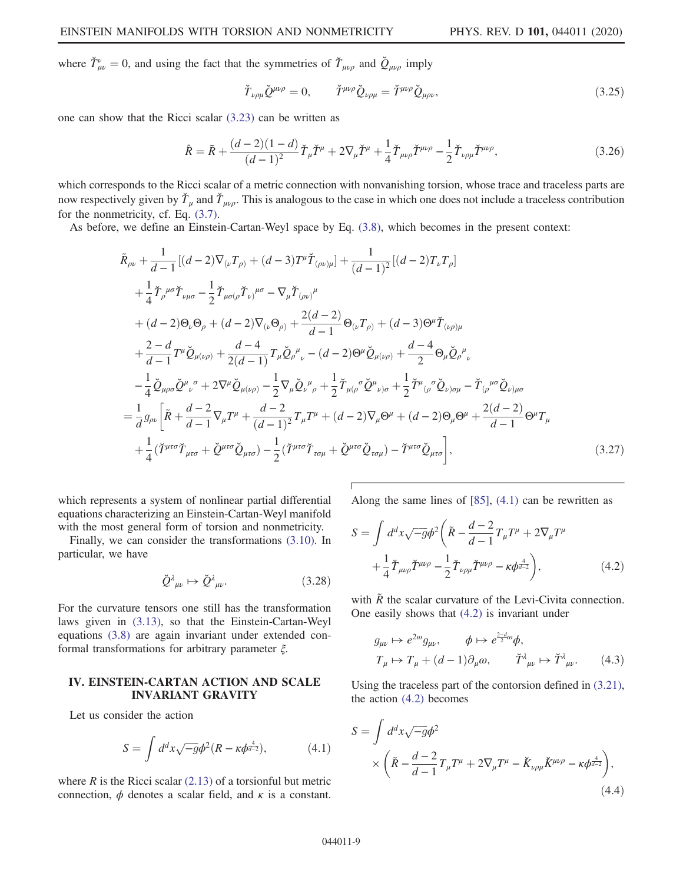where  $\check{T}^{\nu}_{\mu\nu} = 0$ , and using the fact that the symmetries of  $\check{T}_{\mu\nu\rho}$  and  $\check{Q}_{\mu\nu\rho}$  imply

$$
\check{T}_{\nu\rho\mu}\check{Q}^{\mu\nu\rho} = 0, \qquad \check{T}^{\mu\nu\rho}\check{Q}_{\nu\rho\mu} = \check{T}^{\mu\nu\rho}\check{Q}_{\mu\rho\nu}, \qquad (3.25)
$$

one can show that the Ricci scalar (3.23) can be written as

$$
\hat{R} = \tilde{R} + \frac{(d-2)(1-d)}{(d-1)^2} \check{T}_{\mu} \check{T}^{\mu} + 2\nabla_{\mu} \check{T}^{\mu} + \frac{1}{4} \check{T}_{\mu\nu\rho} \check{T}^{\mu\nu\rho} - \frac{1}{2} \check{T}_{\nu\rho\mu} \check{T}^{\mu\nu\rho},
$$
\n(3.26)

which corresponds to the Ricci scalar of a metric connection with nonvanishing torsion, whose trace and traceless parts are now respectively given by  $\check{T}_\mu$  and  $\check{T}_{\mu\nu\rho}$ . This is analogous to the case in which one does not include a traceless contribution for the nonmetricity, cf. Eq. (3.7).

As before, we define an Einstein-Cartan-Weyl space by Eq. (3.8), which becomes in the present context:

$$
\tilde{R}_{\rho\nu} + \frac{1}{d-1} [(d-2)\nabla_{(\nu} T_{\rho)} + (d-3)T^{\mu} \tilde{T}_{(\rho\nu)\mu}] + \frac{1}{(d-1)^2} [(d-2)T_{\nu} T_{\rho}] \n+ \frac{1}{4} \tilde{T}_{\rho}^{\mu\sigma} \tilde{T}_{\nu\mu\sigma} - \frac{1}{2} \tilde{T}_{\mu\sigma(\rho} \tilde{T}_{\nu)}^{\mu\sigma} - \nabla_{\mu} \tilde{T}_{(\rho\nu)}^{\mu} \n+ (d-2)\Theta_{\nu}\Theta_{\rho} + (d-2)\nabla_{(\nu}\Theta_{\rho)} + \frac{2(d-2)}{d-1} \Theta_{(\nu} T_{\rho)} + (d-3)\Theta^{\mu} \tilde{T}_{(\nu\rho)\mu} \n+ \frac{2-d}{d-1} T^{\mu} \tilde{Q}_{\mu(\nu\rho)} + \frac{d-4}{2(d-1)} T_{\mu} \tilde{Q}_{\rho}^{\mu}{}_{\nu} - (d-2)\Theta^{\mu} \tilde{Q}_{\mu(\nu\rho)} + \frac{d-4}{2} \Theta_{\mu} \tilde{Q}_{\rho}^{\mu}{}_{\nu} \n- \frac{1}{4} \tilde{Q}_{\mu\rho\sigma} \tilde{Q}^{\mu}{}_{\nu}^{\sigma} + 2 \nabla^{\mu} \tilde{Q}_{\mu(\nu\rho)} - \frac{1}{2} \nabla_{\mu} \tilde{Q}_{\nu}^{\mu}{}_{\rho} + \frac{1}{2} \tilde{T}_{\mu(\rho}^{\sigma} \tilde{Q}^{\mu}{}_{\nu)\sigma} + \frac{1}{2} \tilde{T}^{\mu}{}_{(\rho}^{\sigma} \tilde{Q}_{\nu)\sigma\mu} - \tilde{T}_{(\rho}^{\mu\sigma} \tilde{Q}_{\nu)\mu\sigma} \n= \frac{1}{d} g_{\rho\nu} \left[ \tilde{R} + \frac{d-2}{d-1} \nabla_{\mu} T^{\mu} + \frac{d-2}{(d-1)^2} T_{\mu} T^{\mu} + (d-2) \nabla_{\mu} \Theta^{\mu} + (d-2) \Theta_{\mu} \Theta^{\mu} + \frac{2(d-2)}{d-1} \Theta^{\mu} T_{\mu} \n+ \frac{1}{4} (\til
$$

which represents a system of nonlinear partial differential equations characterizing an Einstein-Cartan-Weyl manifold with the most general form of torsion and nonmetricity.

Finally, we can consider the transformations (3.10). In particular, we have

$$
\check{Q}^{\lambda}{}_{\mu\nu} \mapsto \check{Q}^{\lambda}{}_{\mu\nu}.\tag{3.28}
$$

For the curvature tensors one still has the transformation laws given in (3.13), so that the Einstein-Cartan-Weyl equations (3.8) are again invariant under extended conformal transformations for arbitrary parameter ξ.

#### IV. EINSTEIN-CARTAN ACTION AND SCALE INVARIANT GRAVITY

Let us consider the action

$$
S = \int d^d x \sqrt{-g} \phi^2 (R - \kappa \phi^{\frac{4}{d-2}}), \tag{4.1}
$$

where  $R$  is the Ricci scalar (2.13) of a torsionful but metric connection,  $\phi$  denotes a scalar field, and  $\kappa$  is a constant. Along the same lines of  $[85]$ ,  $(4.1)$  can be rewritten as

$$
S = \int d^d x \sqrt{-g} \phi^2 \left( \tilde{R} - \frac{d-2}{d-1} T_{\mu} T^{\mu} + 2 \nabla_{\mu} T^{\mu} + \frac{1}{4} \tilde{T}_{\mu \nu \rho} \tilde{T}^{\mu \nu \rho} - \frac{1}{2} \tilde{T}_{\nu \rho \mu} \tilde{T}^{\mu \nu \rho} - \kappa \phi^{\frac{4}{d-2}} \right),
$$
(4.2)

with  $\tilde{R}$  the scalar curvature of the Levi-Civita connection. One easily shows that (4.2) is invariant under

$$
g_{\mu\nu} \mapsto e^{2\omega} g_{\mu\nu}, \qquad \phi \mapsto e^{\frac{2-d}{2}\omega} \phi,
$$
  
\n
$$
T_{\mu} \mapsto T_{\mu} + (d-1)\partial_{\mu}\omega, \qquad \check{T}^{\lambda}{}_{\mu\nu} \mapsto \check{T}^{\lambda}{}_{\mu\nu}.
$$
 (4.3)

Using the traceless part of the contorsion defined in (3.21), the action (4.2) becomes

$$
S = \int d^d x \sqrt{-g} \phi^2
$$
  
 
$$
\times \left( \tilde{R} - \frac{d-2}{d-1} T_{\mu} T^{\mu} + 2 \nabla_{\mu} T^{\mu} - \breve{K}_{\nu \rho \mu} \breve{K}^{\mu \nu \rho} - \kappa \phi^{\frac{4}{d-2}} \right),
$$
  
(4.4)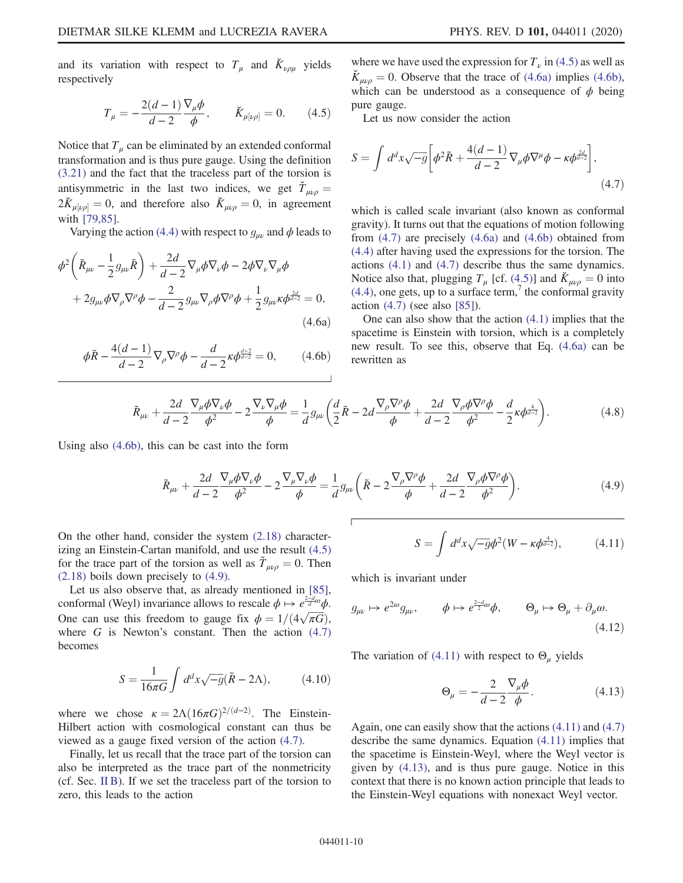and its variation with respect to  $T_{\mu}$  and  $\dot{K}_{\nu\rho\mu}$  yields respectively

$$
T_{\mu} = -\frac{2(d-1)}{d-2} \frac{\nabla_{\mu} \phi}{\phi}, \qquad \breve{K}_{\mu[\nu \rho]} = 0. \tag{4.5}
$$

Notice that  $T_{\mu}$  can be eliminated by an extended conformal transformation and is thus pure gauge. Using the definition (3.21) and the fact that the traceless part of the torsion is antisymmetric in the last two indices, we get  $T_{\mu\nu\rho} =$  $2K_{\mu[\nu\rho]} = 0$ , and therefore also  $K_{\mu\nu\rho} = 0$ , in agreement with [79,85].

Varying the action (4.4) with respect to  $g_{\mu\nu}$  and  $\phi$  leads to

$$
\phi^2 \left( \tilde{R}_{\mu\nu} - \frac{1}{2} g_{\mu\nu} \tilde{R} \right) + \frac{2d}{d-2} \nabla_\mu \phi \nabla_\nu \phi - 2 \phi \nabla_\nu \nabla_\mu \phi \n+ 2 g_{\mu\nu} \phi \nabla_\rho \nabla^\rho \phi - \frac{2}{d-2} g_{\mu\nu} \nabla_\rho \phi \nabla^\rho \phi + \frac{1}{2} g_{\mu\nu} \kappa \phi^{\frac{2d}{d-2}} = 0,
$$
\n(4.6a)

$$
\phi \tilde{R} - \frac{4(d-1)}{d-2} \nabla_{\rho} \nabla^{\rho} \phi - \frac{d}{d-2} \kappa \phi^{\frac{d+2}{d-2}} = 0, \qquad (4.6b)
$$

where we have used the expression for  $T_{\nu}$  in (4.5) as well as  $K_{\mu\nu\rho} = 0$ . Observe that the trace of (4.6a) implies (4.6b), which can be understood as a consequence of  $\phi$  being pure gauge.

Let us now consider the action

$$
S = \int d^d x \sqrt{-g} \left[ \phi^2 \tilde{R} + \frac{4(d-1)}{d-2} \nabla_\mu \phi \nabla^\mu \phi - \kappa \phi^{\frac{2d}{d-2}} \right],
$$
\n(4.7)

which is called scale invariant (also known as conformal gravity). It turns out that the equations of motion following from (4.7) are precisely (4.6a) and (4.6b) obtained from (4.4) after having used the expressions for the torsion. The actions (4.1) and (4.7) describe thus the same dynamics. Notice also that, plugging  $T_{\mu}$  [cf. (4.5)] and  $\dot{K}_{\mu\nu\rho} = 0$  into  $(4.4)$ , one gets, up to a surface term, $\prime$  the conformal gravity action (4.7) (see also [85]).

One can also show that the action (4.1) implies that the spacetime is Einstein with torsion, which is a completely new result. To see this, observe that Eq. (4.6a) can be rewritten as

$$
\tilde{R}_{\mu\nu} + \frac{2d}{d-2} \frac{\nabla_{\mu}\phi\nabla_{\nu}\phi}{\phi^2} - 2\frac{\nabla_{\nu}\nabla_{\mu}\phi}{\phi} = \frac{1}{d}g_{\mu\nu}\left(\frac{d}{2}\tilde{R} - 2d\frac{\nabla_{\rho}\nabla^{\rho}\phi}{\phi} + \frac{2d}{d-2}\frac{\nabla_{\rho}\phi\nabla^{\rho}\phi}{\phi^2} - \frac{d}{2}\kappa\phi^{\frac{4}{d-2}}\right). \tag{4.8}
$$

Using also (4.6b), this can be cast into the form

$$
\tilde{R}_{\mu\nu} + \frac{2d}{d-2} \frac{\nabla_{\mu} \phi \nabla_{\nu} \phi}{\phi^2} - 2 \frac{\nabla_{\mu} \nabla_{\nu} \phi}{\phi} = \frac{1}{d} g_{\mu\nu} \left( \tilde{R} - 2 \frac{\nabla_{\rho} \nabla^{\rho} \phi}{\phi} + \frac{2d}{d-2} \frac{\nabla_{\rho} \phi \nabla^{\rho} \phi}{\phi^2} \right). \tag{4.9}
$$

On the other hand, consider the system (2.18) characterizing an Einstein-Cartan manifold, and use the result (4.5) for the trace part of the torsion as well as  $\tilde{T}_{\mu\nu\rho} = 0$ . Then (2.18) boils down precisely to (4.9).

Let us also observe that, as already mentioned in [85], conformal (Weyl) invariance allows to rescale  $\phi \mapsto e^{\frac{2-d\omega}{d}\phi}$ . One can use this freedom to gauge fix  $\phi = 1/(4\sqrt{\pi G})$ ,<br>where G is Newton's constant. Then the action (4.7) where  $G$  is Newton's constant. Then the action  $(4.7)$ becomes

$$
S = \frac{1}{16\pi G} \int d^d x \sqrt{-g} (\tilde{R} - 2\Lambda), \quad (4.10)
$$

where we chose  $\kappa = 2\Lambda (16\pi G)^{2/(d-2)}$ . The Einstein-<br>Hilbert action with cosmological constant can thus be Hilbert action with cosmological constant can thus be viewed as a gauge fixed version of the action (4.7).

Finally, let us recall that the trace part of the torsion can also be interpreted as the trace part of the nonmetricity (cf. Sec. II B). If we set the traceless part of the torsion to zero, this leads to the action

$$
S = \int d^d x \sqrt{-g} \phi^2 (W - \kappa \phi^{\frac{4}{d-2}}), \quad (4.11)
$$

which is invariant under

$$
g_{\mu\nu} \mapsto e^{2\omega} g_{\mu\nu}, \qquad \phi \mapsto e^{\frac{2-d}{2}\omega} \phi, \qquad \Theta_{\mu} \mapsto \Theta_{\mu} + \partial_{\mu}\omega.
$$
\n(4.12)

The variation of (4.11) with respect to  $\Theta_u$  yields

$$
\Theta_{\mu} = -\frac{2}{d-2} \frac{\nabla_{\mu} \phi}{\phi}.
$$
 (4.13)

Again, one can easily show that the actions (4.11) and (4.7) describe the same dynamics. Equation (4.11) implies that the spacetime is Einstein-Weyl, where the Weyl vector is given by (4.13), and is thus pure gauge. Notice in this context that there is no known action principle that leads to the Einstein-Weyl equations with nonexact Weyl vector.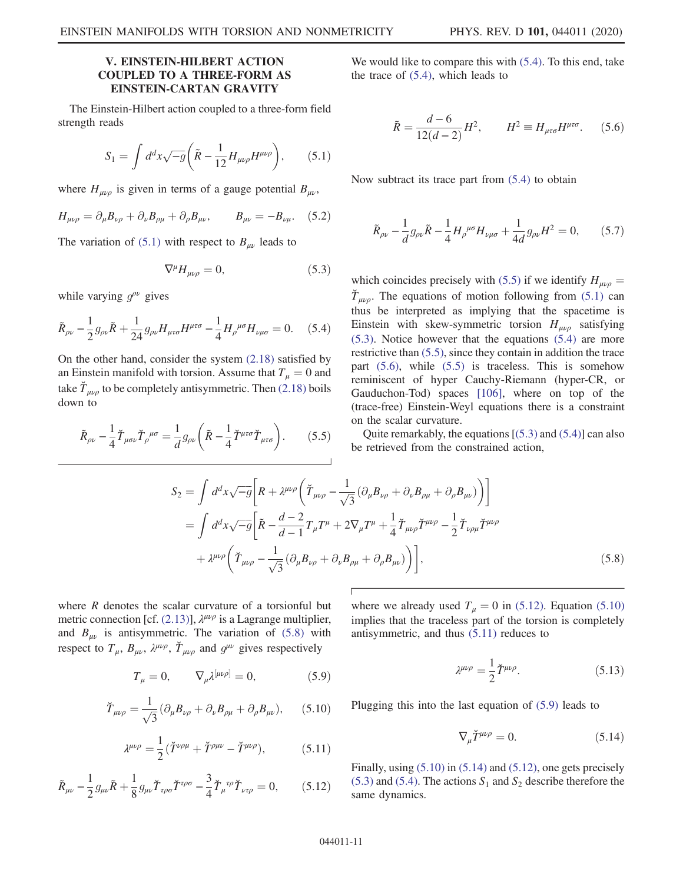# V. EINSTEIN-HILBERT ACTION COUPLED TO A THREE-FORM AS EINSTEIN-CARTAN GRAVITY

The Einstein-Hilbert action coupled to a three-form field strength reads

$$
S_1 = \int d^d x \sqrt{-g} \left( \tilde{R} - \frac{1}{12} H_{\mu\nu\rho} H^{\mu\nu\rho} \right), \qquad (5.1)
$$

where  $H_{\mu\nu\rho}$  is given in terms of a gauge potential  $B_{\mu\nu}$ ,

$$
H_{\mu\nu\rho} = \partial_{\mu}B_{\nu\rho} + \partial_{\nu}B_{\rho\mu} + \partial_{\rho}B_{\mu\nu}, \qquad B_{\mu\nu} = -B_{\nu\mu}.
$$
 (5.2)

The variation of (5.1) with respect to  $B_{\mu\nu}$  leads to

$$
\nabla^{\mu}H_{\mu\nu\rho} = 0, \qquad (5.3)
$$

while varying  $q^{\rho\nu}$  gives

$$
\tilde{R}_{\rho\nu} - \frac{1}{2} g_{\rho\nu} \tilde{R} + \frac{1}{24} g_{\rho\nu} H_{\mu\tau\sigma} H^{\mu\tau\sigma} - \frac{1}{4} H_{\rho}{}^{\mu\sigma} H_{\nu\mu\sigma} = 0. \quad (5.4)
$$

On the other hand, consider the system (2.18) satisfied by an Einstein manifold with torsion. Assume that  $T_{\mu} = 0$  and take  $\tilde{T}_{\mu\nu\rho}$  to be completely antisymmetric. Then (2.18) boils down to

$$
\tilde{R}_{\rho\nu} - \frac{1}{4} \tilde{T}_{\mu\sigma\nu} \tilde{T}_{\rho}^{\ \mu\sigma} = \frac{1}{d} g_{\rho\nu} \left( \tilde{R} - \frac{1}{4} \tilde{T}^{\mu\tau\sigma} \tilde{T}_{\mu\tau\sigma} \right). \tag{5.5}
$$

We would like to compare this with  $(5.4)$ . To this end, take the trace of (5.4), which leads to

$$
\tilde{R} = \frac{d-6}{12(d-2)}H^2, \qquad H^2 \equiv H_{\mu\tau\sigma}H^{\mu\tau\sigma}.
$$
 (5.6)

Now subtract its trace part from (5.4) to obtain

$$
\tilde{R}_{\rho\nu} - \frac{1}{d}g_{\rho\nu}\tilde{R} - \frac{1}{4}H_{\rho}{}^{\mu\sigma}H_{\nu\mu\sigma} + \frac{1}{4d}g_{\rho\nu}H^2 = 0, \qquad (5.7)
$$

which coincides precisely with (5.5) if we identify  $H_{\mu\nu\rho}$  =  $\tilde{T}_{\mu\nu\rho}$ . The equations of motion following from (5.1) can thus be interpreted as implying that the spacetime is Einstein with skew-symmetric torsion  $H_{\mu\nu\rho}$  satisfying (5.3). Notice however that the equations (5.4) are more restrictive than (5.5), since they contain in addition the trace part (5.6), while (5.5) is traceless. This is somehow reminiscent of hyper Cauchy-Riemann (hyper-CR, or Gauduchon-Tod) spaces [106], where on top of the (trace-free) Einstein-Weyl equations there is a constraint on the scalar curvature.

Quite remarkably, the equations [(5.3) and (5.4)] can also be retrieved from the constrained action,

$$
S_2 = \int d^d x \sqrt{-g} \left[ R + \lambda^{\mu\nu\rho} \left( \check{T}_{\mu\nu\rho} - \frac{1}{\sqrt{3}} (\partial_\mu B_{\nu\rho} + \partial_\nu B_{\rho\mu} + \partial_\rho B_{\mu\nu}) \right) \right]
$$
  
= 
$$
\int d^d x \sqrt{-g} \left[ \tilde{R} - \frac{d-2}{d-1} T_\mu T^\mu + 2 \nabla_\mu T^\mu + \frac{1}{4} \check{T}_{\mu\nu\rho} \check{T}^{\mu\nu\rho} - \frac{1}{2} \check{T}_{\nu\rho\mu} \check{T}^{\mu\nu\rho} + \lambda^{\mu\nu\rho} \left( \check{T}_{\mu\nu\rho} - \frac{1}{\sqrt{3}} (\partial_\mu B_{\nu\rho} + \partial_\nu B_{\rho\mu} + \partial_\rho B_{\mu\nu}) \right) \right],
$$
 (5.8)

where  $R$  denotes the scalar curvature of a torsionful but metric connection [cf. (2.13)],  $\lambda^{\mu\nu\rho}$  is a Lagrange multiplier, and  $B_{\mu\nu}$  is antisymmetric. The variation of (5.8) with respect to  $T_{\mu}$ ,  $B_{\mu\nu}$ ,  $\lambda^{\mu\nu\rho}$ ,  $\ddot{T}_{\mu\nu\rho}$  and  $g^{\mu\nu}$  gives respectively

$$
T_{\mu} = 0, \qquad \nabla_{\mu} \lambda^{[\mu\nu\rho]} = 0, \tag{5.9}
$$

$$
\breve{T}_{\mu\nu\rho} = \frac{1}{\sqrt{3}} (\partial_{\mu} B_{\nu\rho} + \partial_{\nu} B_{\rho\mu} + \partial_{\rho} B_{\mu\nu}), \quad (5.10)
$$

$$
\lambda^{\mu\nu\rho} = \frac{1}{2} (\check{T}^{\nu\rho\mu} + \check{T}^{\rho\mu\nu} - \check{T}^{\mu\nu\rho}), \tag{5.11}
$$

$$
\tilde{R}_{\mu\nu} - \frac{1}{2} g_{\mu\nu} \tilde{R} + \frac{1}{8} g_{\mu\nu} \tilde{T}_{\tau\rho\sigma} \tilde{T}^{\tau\rho\sigma} - \frac{3}{4} \tilde{T}_{\mu}^{\ \tau\rho} \tilde{T}_{\nu\tau\rho} = 0, \qquad (5.12)
$$

where we already used  $T_{\mu} = 0$  in (5.12). Equation (5.10) implies that the traceless part of the torsion is completely antisymmetric, and thus (5.11) reduces to

$$
\lambda^{\mu\nu\rho} = \frac{1}{2} \check{T}^{\mu\nu\rho}.
$$
 (5.13)

Plugging this into the last equation of (5.9) leads to

$$
\nabla_{\mu}\breve{T}^{\mu\nu\rho} = 0. \tag{5.14}
$$

Finally, using  $(5.10)$  in  $(5.14)$  and  $(5.12)$ , one gets precisely (5.3) and (5.4). The actions  $S_1$  and  $S_2$  describe therefore the same dynamics.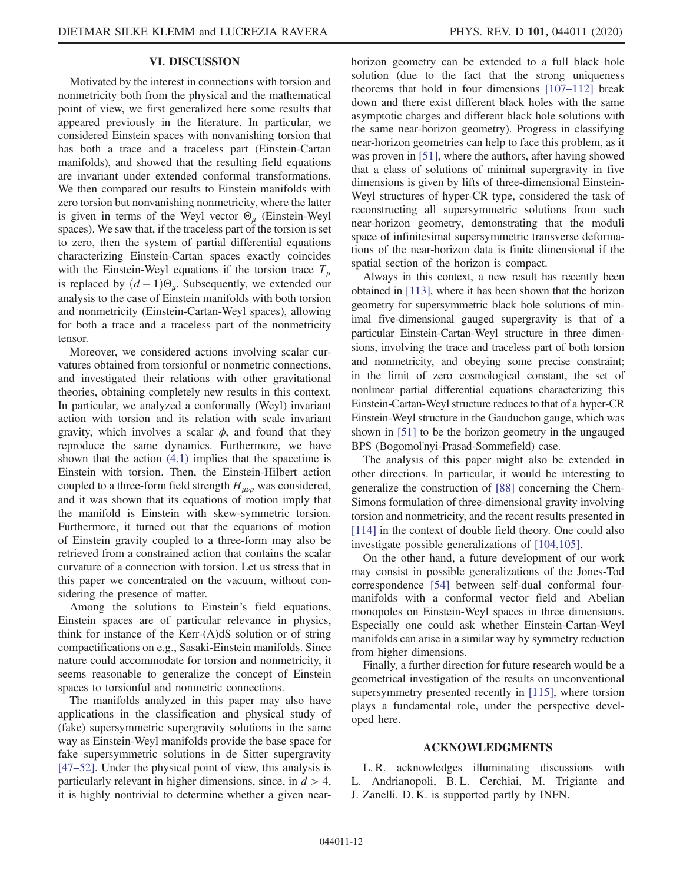#### VI. DISCUSSION

Motivated by the interest in connections with torsion and nonmetricity both from the physical and the mathematical point of view, we first generalized here some results that appeared previously in the literature. In particular, we considered Einstein spaces with nonvanishing torsion that has both a trace and a traceless part (Einstein-Cartan manifolds), and showed that the resulting field equations are invariant under extended conformal transformations. We then compared our results to Einstein manifolds with zero torsion but nonvanishing nonmetricity, where the latter is given in terms of the Weyl vector  $\Theta_{\mu}$  (Einstein-Weyl spaces). We saw that, if the traceless part of the torsion is set to zero, then the system of partial differential equations characterizing Einstein-Cartan spaces exactly coincides with the Einstein-Weyl equations if the torsion trace  $T_{\mu}$ is replaced by  $(d-1)\Theta_{\mu}$ . Subsequently, we extended our analysis to the case of Einstein manifolds with both torsion and nonmetricity (Einstein-Cartan-Weyl spaces), allowing for both a trace and a traceless part of the nonmetricity tensor.

Moreover, we considered actions involving scalar curvatures obtained from torsionful or nonmetric connections, and investigated their relations with other gravitational theories, obtaining completely new results in this context. In particular, we analyzed a conformally (Weyl) invariant action with torsion and its relation with scale invariant gravity, which involves a scalar  $\phi$ , and found that they reproduce the same dynamics. Furthermore, we have shown that the action (4.1) implies that the spacetime is Einstein with torsion. Then, the Einstein-Hilbert action coupled to a three-form field strength  $H_{\mu\nu\rho}$  was considered, and it was shown that its equations of motion imply that the manifold is Einstein with skew-symmetric torsion. Furthermore, it turned out that the equations of motion of Einstein gravity coupled to a three-form may also be retrieved from a constrained action that contains the scalar curvature of a connection with torsion. Let us stress that in this paper we concentrated on the vacuum, without considering the presence of matter.

Among the solutions to Einstein's field equations, Einstein spaces are of particular relevance in physics, think for instance of the Kerr-(A)dS solution or of string compactifications on e.g., Sasaki-Einstein manifolds. Since nature could accommodate for torsion and nonmetricity, it seems reasonable to generalize the concept of Einstein spaces to torsionful and nonmetric connections.

The manifolds analyzed in this paper may also have applications in the classification and physical study of (fake) supersymmetric supergravity solutions in the same way as Einstein-Weyl manifolds provide the base space for fake supersymmetric solutions in de Sitter supergravity [47–52]. Under the physical point of view, this analysis is particularly relevant in higher dimensions, since, in  $d > 4$ , it is highly nontrivial to determine whether a given nearhorizon geometry can be extended to a full black hole solution (due to the fact that the strong uniqueness theorems that hold in four dimensions [107–112] break down and there exist different black holes with the same asymptotic charges and different black hole solutions with the same near-horizon geometry). Progress in classifying near-horizon geometries can help to face this problem, as it was proven in [51], where the authors, after having showed that a class of solutions of minimal supergravity in five dimensions is given by lifts of three-dimensional Einstein-Weyl structures of hyper-CR type, considered the task of reconstructing all supersymmetric solutions from such near-horizon geometry, demonstrating that the moduli space of infinitesimal supersymmetric transverse deformations of the near-horizon data is finite dimensional if the spatial section of the horizon is compact.

Always in this context, a new result has recently been obtained in [113], where it has been shown that the horizon geometry for supersymmetric black hole solutions of minimal five-dimensional gauged supergravity is that of a particular Einstein-Cartan-Weyl structure in three dimensions, involving the trace and traceless part of both torsion and nonmetricity, and obeying some precise constraint; in the limit of zero cosmological constant, the set of nonlinear partial differential equations characterizing this Einstein-Cartan-Weyl structure reduces to that of a hyper-CR Einstein-Weyl structure in the Gauduchon gauge, which was shown in [51] to be the horizon geometry in the ungauged BPS (Bogomol'nyi-Prasad-Sommefield) case.

The analysis of this paper might also be extended in other directions. In particular, it would be interesting to generalize the construction of [88] concerning the Chern-Simons formulation of three-dimensional gravity involving torsion and nonmetricity, and the recent results presented in [114] in the context of double field theory. One could also investigate possible generalizations of [104,105].

On the other hand, a future development of our work may consist in possible generalizations of the Jones-Tod correspondence [54] between self-dual conformal fourmanifolds with a conformal vector field and Abelian monopoles on Einstein-Weyl spaces in three dimensions. Especially one could ask whether Einstein-Cartan-Weyl manifolds can arise in a similar way by symmetry reduction from higher dimensions.

Finally, a further direction for future research would be a geometrical investigation of the results on unconventional supersymmetry presented recently in [115], where torsion plays a fundamental role, under the perspective developed here.

#### ACKNOWLEDGMENTS

L. R. acknowledges illuminating discussions with L. Andrianopoli, B. L. Cerchiai, M. Trigiante and J. Zanelli. D. K. is supported partly by INFN.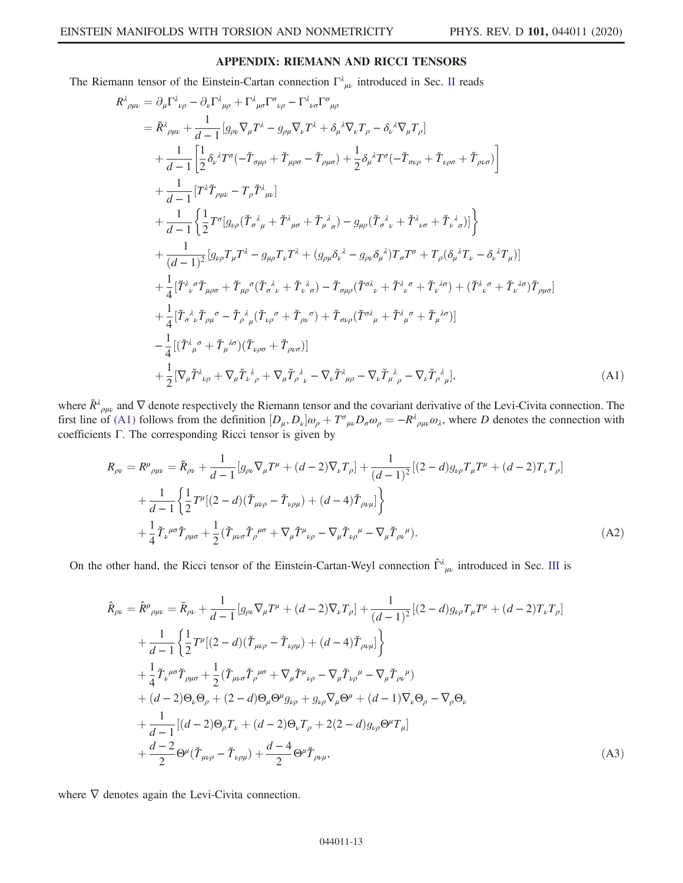# APPENDIX: RIEMANN AND RICCI TENSORS

The Riemann tensor of the Einstein-Cartan connection  $\Gamma^{\lambda}{}_{\mu\nu}$  introduced in Sec. II reads

$$
R^{\lambda}_{\rho\mu\nu} = \partial_{\mu}\Gamma^{\lambda}_{\nu\rho} - \partial_{\nu}\Gamma^{\lambda}_{\mu\rho} + \Gamma^{\lambda}_{\mu\sigma}\Gamma^{\sigma}_{\nu\rho} - \Gamma^{\lambda}_{\nu\sigma}\Gamma^{\sigma}_{\mu\rho} \n= \tilde{R}^{\lambda}_{\rho\mu\nu} + \frac{1}{d-1} [g_{\rho\nu}\nabla_{\mu}T^{\lambda} - g_{\rho\mu}\nabla_{\nu}T^{\lambda} + \delta_{\mu}{}^{\lambda}\nabla_{\nu}T_{\rho} - \delta_{\nu}{}^{\lambda}\nabla_{\mu}T_{\rho}] \n+ \frac{1}{d-1} \left[ \frac{1}{2}\delta_{\nu}{}^{\lambda}T^{\sigma}(-\tilde{T}_{\sigma\mu\rho} + \tilde{T}_{\mu\rho\sigma} - \tilde{T}_{\rho\mu\sigma}) + \frac{1}{2}\delta_{\mu}{}^{\lambda}T^{\sigma}(-\tilde{T}_{\sigma\mu\rho} + \tilde{T}_{\mu\rho\sigma} + \tilde{T}_{\rho\nu\sigma}) \right] \n+ \frac{1}{d-1} [T^{\lambda}\tilde{T}_{\rho\mu\nu} - T_{\rho}\tilde{T}^{\lambda}_{\mu\nu}] \n+ \frac{1}{d-1} \left\{ \frac{1}{2} T^{\sigma}[g_{\nu\rho}(\tilde{T}_{\sigma\mu}^{\lambda} + \tilde{T}^{\lambda}_{\mu\sigma} + \tilde{T}_{\mu}^{\lambda}{}_{\sigma}) - g_{\mu\rho}(\tilde{T}_{\sigma\mu}^{\lambda} + \tilde{T}^{\lambda}_{\nu\sigma} + \tilde{T}_{\nu}^{\lambda}{}_{\sigma})] \right\} \n+ \frac{1}{(d-1)^{2}} [g_{\nu\rho}T_{\mu}T^{\lambda} - g_{\mu\rho}T_{\nu}T^{\lambda} + (g_{\rho\mu}\delta_{\nu}{}^{\lambda} - g_{\rho\nu}\delta_{\mu}{}^{\lambda})T_{\sigma}T^{\sigma} + T_{\rho}(\delta_{\mu}{}^{\lambda}T_{\nu} - \delta_{\nu}{}^{\lambda}T_{\mu})] \n+ \frac{1}{4} [\tilde{T}^{\lambda}_{\nu}{}^{\sigma}\tilde{T}_{\mu\rho\sigma} + \tilde{T}_{\mu\rho}{}^{\sigma}(\tilde{T}_{\sigma\mu}^{\lambda} +
$$

where  $\tilde{R}^{\lambda}{}_{\rho\mu\nu}$  and  $\nabla$  denote respectively the Riemann tensor and the covariant derivative of the Levi-Civita connection. The first line of (A1) follows from the definition  $[D_{\mu}, D_{\nu}]\omega_{\rho} + T^{\sigma}{}_{\mu\nu}D_{\sigma}\omega_{\rho} = -R^{\lambda}{}_{\rho\mu\nu}\omega_{\lambda}$ , where D denotes the connection with coefficients  $\Gamma$ . The corresponding Ricci tensor is given by coefficients Γ. The corresponding Ricci tensor is given by

$$
R_{\rho\nu} = R^{\mu}{}_{\rho\mu\nu} = \tilde{R}_{\rho\nu} + \frac{1}{d-1} [g_{\rho\nu} \nabla_{\mu} T^{\mu} + (d-2) \nabla_{\nu} T_{\rho}] + \frac{1}{(d-1)^2} [(2-d)g_{\nu\rho} T_{\mu} T^{\mu} + (d-2) T_{\nu} T_{\rho}]
$$
  
+ 
$$
\frac{1}{d-1} \left\{ \frac{1}{2} T^{\mu} [(2-d)(\tilde{T}_{\mu\nu\rho} - \tilde{T}_{\nu\rho\mu}) + (d-4)\tilde{T}_{\rho\nu\mu}] \right\}
$$
  
+ 
$$
\frac{1}{4} \tilde{T}_{\nu}^{\mu\sigma} \tilde{T}_{\rho\mu\sigma} + \frac{1}{2} (\tilde{T}_{\mu\nu\sigma} \tilde{T}_{\rho}^{\mu\sigma} + \nabla_{\mu} \tilde{T}^{\mu}{}_{\nu\rho} - \nabla_{\mu} \tilde{T}_{\nu\rho}^{\mu} - \nabla_{\mu} \tilde{T}_{\rho\nu}^{\mu}). \tag{A2}
$$

On the other hand, the Ricci tensor of the Einstein-Cartan-Weyl connection  $\hat{\Gamma}^{\lambda}{}_{\mu\nu}$  introduced in Sec. III is

$$
\hat{R}_{\rho\nu} = \hat{R}^{\mu}{}_{\rho\mu\nu} = \tilde{R}_{\rho\nu} + \frac{1}{d-1} [g_{\rho\nu} \nabla_{\mu} T^{\mu} + (d-2) \nabla_{\nu} T_{\rho}] + \frac{1}{(d-1)^2} [(2-d)g_{\nu\rho} T_{\mu} T^{\mu} + (d-2) T_{\nu} T_{\rho}] \n+ \frac{1}{d-1} \left\{ \frac{1}{2} T^{\mu} [(2-d)(\tilde{T}_{\mu\nu\rho} - \tilde{T}_{\nu\rho\mu}) + (d-4) \tilde{T}_{\rho\nu\mu}] \right\} \n+ \frac{1}{4} \tilde{T}_{\nu}{}^{\mu\sigma} \tilde{T}_{\rho\mu\sigma} + \frac{1}{2} (\tilde{T}_{\mu\nu\sigma} \tilde{T}_{\rho}{}^{\mu\sigma} + \nabla_{\mu} \tilde{T}^{\mu}{}_{\nu\rho} - \nabla_{\mu} \tilde{T}_{\nu\rho}{}^{\mu} - \nabla_{\mu} \tilde{T}_{\rho\nu}{}^{\mu}) \n+ (d-2) \Theta_{\nu} \Theta_{\rho} + (2-d) \Theta_{\mu} \Theta^{\mu} g_{\nu\rho} + g_{\nu\rho} \nabla_{\mu} \Theta^{\mu} + (d-1) \nabla_{\nu} \Theta_{\rho} - \nabla_{\rho} \Theta_{\nu} \n+ \frac{1}{d-1} [(d-2) \Theta_{\rho} T_{\nu} + (d-2) \Theta_{\nu} T_{\rho} + 2(2-d) g_{\nu\rho} \Theta^{\mu} T_{\mu}] \n+ \frac{d-2}{2} \Theta^{\mu} (\tilde{T}_{\mu\nu\rho} - \tilde{T}_{\nu\rho\mu}) + \frac{d-4}{2} \Theta^{\mu} \tilde{T}_{\rho\nu\mu},
$$
\n(A3)

where  $∇$  denotes again the Levi-Civita connection.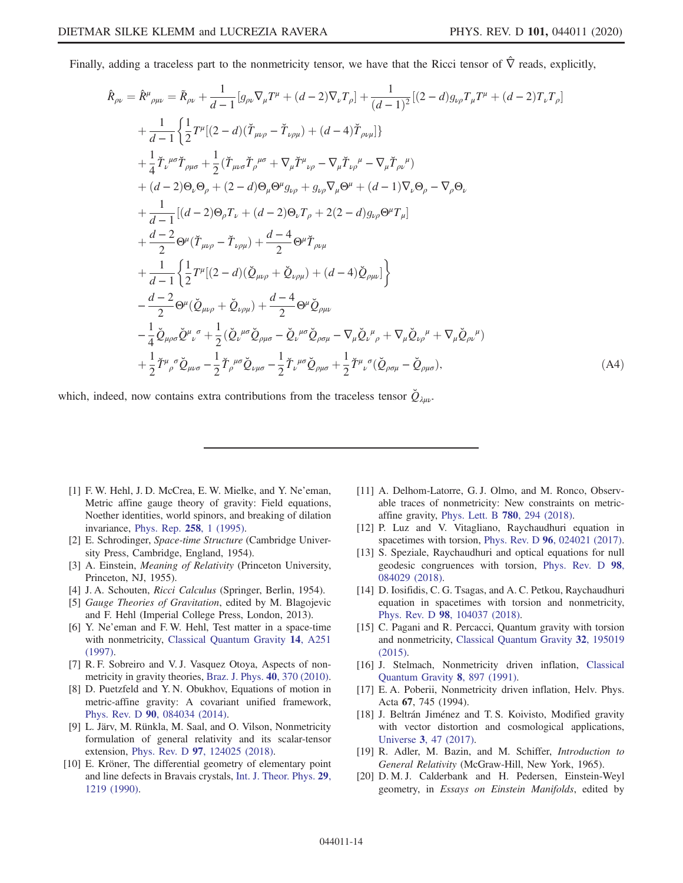Finally, adding a traceless part to the nonmetricity tensor, we have that the Ricci tensor of  $\hat{\nabla}$  reads, explicitly,

$$
\hat{R}_{\rho\nu} = \hat{R}^{\mu}_{\rho\mu\nu} = \tilde{R}_{\rho\nu} + \frac{1}{d-1} [g_{\rho\nu} \nabla_{\mu} T^{\mu} + (d-2) \nabla_{\nu} T_{\rho}] + \frac{1}{(d-1)^{2}} [(2-d)g_{\nu\rho} T_{\mu} T^{\mu} + (d-2) T_{\nu} T_{\rho}] \n+ \frac{1}{d-1} \left\{ \frac{1}{2} T^{\mu} [(2-d)(\tilde{T}_{\mu\nu\rho} - \tilde{T}_{\nu\rho\mu}) + (d-4) \tilde{T}_{\rho\nu\mu}] \right\} \n+ \frac{1}{4} \tilde{T}_{\mu}^{\mu\sigma} \tilde{T}_{\rho\mu\sigma} + \frac{1}{2} (\tilde{T}_{\mu\nu\sigma} \tilde{T}_{\rho}^{\mu\sigma} + \nabla_{\mu} \tilde{T}^{\mu}_{\nu\rho} - \nabla_{\mu} \tilde{T}_{\nu\rho}^{\mu} - \nabla_{\mu} \tilde{T}_{\rho\mu}^{\mu}) \n+ (d-2) \Theta_{\nu} \Theta_{\rho} + (2-d) \Theta_{\mu} \Theta^{\mu} g_{\nu\rho} + g_{\nu\rho} \nabla_{\mu} \Theta^{\mu} + (d-1) \nabla_{\nu} \Theta_{\rho} - \nabla_{\rho} \Theta_{\nu} \n+ \frac{1}{d-1} [(d-2) \Theta_{\rho} T_{\nu} + (d-2) \Theta_{\nu} T_{\rho} + 2(2-d) g_{\nu\rho} \Theta^{\mu} T_{\mu}] \n+ \frac{d-2}{2} \Theta^{\mu} (\tilde{T}_{\mu\nu\rho} - \tilde{T}_{\nu\rho\mu}) + \frac{d-4}{2} \Theta^{\mu} \tilde{T}_{\rho\nu\mu} \n+ \frac{1}{d-1} \left\{ \frac{1}{2} T^{\mu} [(2-d)(\tilde{Q}_{\mu\nu\rho} + \tilde{Q}_{\nu\rho\mu}) + (d-4) \tilde{Q}_{\rho\mu\nu}] \right\} \n- \frac{d-2}{2} \Theta^{\mu} (\tilde{Q}_{\mu\nu\rho} + \tilde{Q}_{\nu\rho\mu}) + \frac{d-4}{2} \Theta^{\mu} \tilde
$$

which, indeed, now contains extra contributions from the traceless tensor  $\check{Q}_{\lambda\mu\nu}$ .

- [1] F. W. Hehl, J. D. McCrea, E. W. Mielke, and Y. Ne'eman, Metric affine gauge theory of gravity: Field equations, Noether identities, world spinors, and breaking of dilation invariance, [Phys. Rep.](https://doi.org/10.1016/0370-1573(94)00111-F) 258, 1 (1995).
- [2] E. Schrodinger, Space-time Structure (Cambridge University Press, Cambridge, England, 1954).
- [3] A. Einstein, *Meaning of Relativity* (Princeton University, Princeton, NJ, 1955).
- [4] J. A. Schouten, *Ricci Calculus* (Springer, Berlin, 1954).
- [5] Gauge Theories of Gravitation, edited by M. Blagojevic and F. Hehl (Imperial College Press, London, 2013).
- [6] Y. Ne'eman and F. W. Hehl, Test matter in a space-time with nonmetricity, [Classical Quantum Gravity](https://doi.org/10.1088/0264-9381/14/1A/020) 14, A251 [\(1997\).](https://doi.org/10.1088/0264-9381/14/1A/020)
- [7] R. F. Sobreiro and V. J. Vasquez Otoya, Aspects of nonmetricity in gravity theories, [Braz. J. Phys.](https://doi.org/10.1590/S0103-97332010000400002) 40, 370 (2010).
- [8] D. Puetzfeld and Y. N. Obukhov, Equations of motion in metric-affine gravity: A covariant unified framework, Phys. Rev. D 90[, 084034 \(2014\)](https://doi.org/10.1103/PhysRevD.90.084034).
- [9] L. Järv, M. Rünkla, M. Saal, and O. Vilson, Nonmetricity formulation of general relativity and its scalar-tensor extension, Phys. Rev. D 97[, 124025 \(2018\).](https://doi.org/10.1103/PhysRevD.97.124025)
- [10] E. Kröner, The differential geometry of elementary point and line defects in Bravais crystals, [Int. J. Theor. Phys.](https://doi.org/10.1007/BF00672933) 29, [1219 \(1990\).](https://doi.org/10.1007/BF00672933)
- [11] A. Delhom-Latorre, G. J. Olmo, and M. Ronco, Observable traces of nonmetricity: New constraints on metricaffine gravity, [Phys. Lett. B](https://doi.org/10.1016/j.physletb.2018.03.002) 780, 294 (2018).
- [12] P. Luz and V. Vitagliano, Raychaudhuri equation in spacetimes with torsion, Phys. Rev. D 96[, 024021 \(2017\).](https://doi.org/10.1103/PhysRevD.96.024021)
- [13] S. Speziale, Raychaudhuri and optical equations for null geodesic congruences with torsion, [Phys. Rev. D](https://doi.org/10.1103/PhysRevD.98.084029) 98, [084029 \(2018\).](https://doi.org/10.1103/PhysRevD.98.084029)
- [14] D. Iosifidis, C. G. Tsagas, and A. C. Petkou, Raychaudhuri equation in spacetimes with torsion and nonmetricity, Phys. Rev. D 98[, 104037 \(2018\)](https://doi.org/10.1103/PhysRevD.98.104037).
- [15] C. Pagani and R. Percacci, Quantum gravity with torsion and nonmetricity, [Classical Quantum Gravity](https://doi.org/10.1088/0264-9381/32/19/195019) 32, 195019 [\(2015\).](https://doi.org/10.1088/0264-9381/32/19/195019)
- [16] J. Stelmach, Nonmetricity driven inflation, [Classical](https://doi.org/10.1088/0264-9381/8/5/014) [Quantum Gravity](https://doi.org/10.1088/0264-9381/8/5/014) 8, 897 (1991).
- [17] E. A. Poberii, Nonmetricity driven inflation, Helv. Phys. Acta 67, 745 (1994).
- [18] J. Beltrán Jiménez and T. S. Koivisto, Modified gravity with vector distortion and cosmological applications, Universe 3[, 47 \(2017\).](https://doi.org/10.3390/universe3020047)
- [19] R. Adler, M. Bazin, and M. Schiffer, Introduction to General Relativity (McGraw-Hill, New York, 1965).
- [20] D. M. J. Calderbank and H. Pedersen, Einstein-Weyl geometry, in Essays on Einstein Manifolds, edited by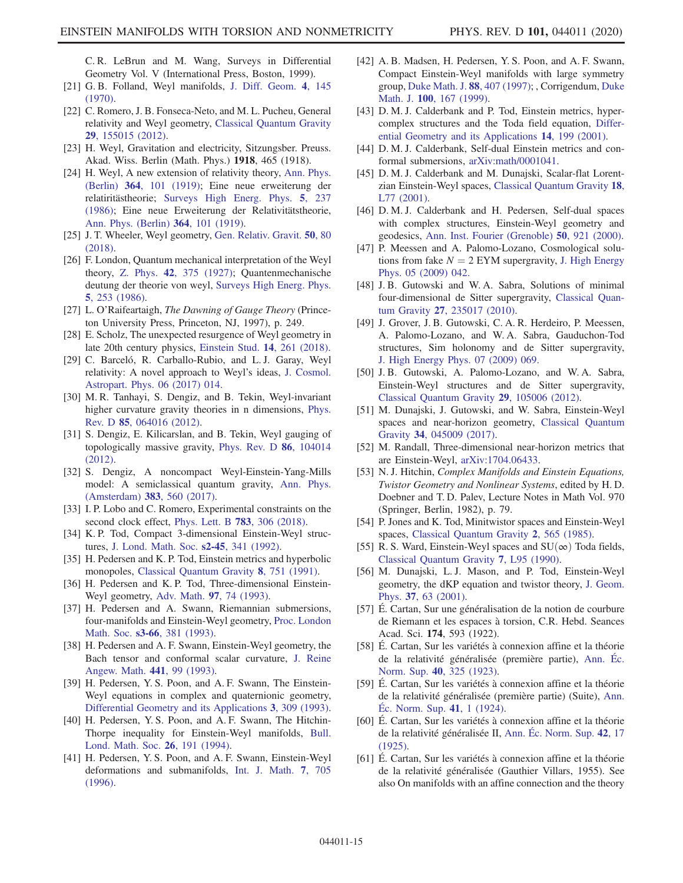C. R. LeBrun and M. Wang, Surveys in Differential Geometry Vol. V (International Press, Boston, 1999).

- [21] G. B. Folland, Weyl manifolds, [J. Diff. Geom.](https://doi.org/10.4310/jdg/1214429379) 4, 145 [\(1970\).](https://doi.org/10.4310/jdg/1214429379)
- [22] C. Romero, J. B. Fonseca-Neto, and M. L. Pucheu, General relativity and Weyl geometry, [Classical Quantum Gravity](https://doi.org/10.1088/0264-9381/29/15/155015) 29[, 155015 \(2012\).](https://doi.org/10.1088/0264-9381/29/15/155015)
- [23] H. Weyl, Gravitation and electricity, Sitzungsber. Preuss. Akad. Wiss. Berlin (Math. Phys.) 1918, 465 (1918).
- [24] H. Weyl, A new extension of relativity theory, [Ann. Phys.](https://doi.org/10.1002/andp.19193641002) (Berlin) 364[, 101 \(1919\)](https://doi.org/10.1002/andp.19193641002); Eine neue erweiterung der relatiritästheorie; [Surveys High Energ. Phys.](https://doi.org/10.1080/01422418608228770) 5, 237 [\(1986\);](https://doi.org/10.1080/01422418608228770) Eine neue Erweiterung der Relativitätstheorie, [Ann. Phys. \(Berlin\)](https://doi.org/10.1002/andp.19193641002) 364, 101 (1919).
- [25] J. T. Wheeler, Weyl geometry, [Gen. Relativ. Gravit.](https://doi.org/10.1007/s10714-018-2401-5) **50**, 80 [\(2018\).](https://doi.org/10.1007/s10714-018-2401-5)
- [26] F. London, Quantum mechanical interpretation of the Weyl theory, Z. Phys. 42[, 375 \(1927\);](https://doi.org/10.1007/BF01397316) Quantenmechanische deutung der theorie von weyl, [Surveys High Energ. Phys.](https://doi.org/10.1080/01422418608228773) 5[, 253 \(1986\).](https://doi.org/10.1080/01422418608228773)
- [27] L. O'Raifeartaigh, The Dawning of Gauge Theory (Princeton University Press, Princeton, NJ, 1997), p. 249.
- [28] E. Scholz, The unexpected resurgence of Weyl geometry in late 20th century physics, [Einstein Stud.](https://doi.org/10.1007/978-1-4939-7708-6_11) 14, 261 (2018).
- [29] C. Barceló, R. Carballo-Rubio, and L. J. Garay, Weyl relativity: A novel approach to Weyl's ideas, [J. Cosmol.](https://doi.org/10.1088/1475-7516/2017/06/014) [Astropart. Phys. 06 \(2017\) 014.](https://doi.org/10.1088/1475-7516/2017/06/014)
- [30] M. R. Tanhayi, S. Dengiz, and B. Tekin, Weyl-invariant higher curvature gravity theories in n dimensions, [Phys.](https://doi.org/10.1103/PhysRevD.85.064016) Rev. D 85[, 064016 \(2012\)](https://doi.org/10.1103/PhysRevD.85.064016).
- [31] S. Dengiz, E. Kilicarslan, and B. Tekin, Weyl gauging of topologically massive gravity, [Phys. Rev. D](https://doi.org/10.1103/PhysRevD.86.104014) 86, 104014 [\(2012\).](https://doi.org/10.1103/PhysRevD.86.104014)
- [32] S. Dengiz, A noncompact Weyl-Einstein-Yang-Mills model: A semiclassical quantum gravity, [Ann. Phys.](https://doi.org/10.1016/j.aop.2017.06.010) [\(Amsterdam\)](https://doi.org/10.1016/j.aop.2017.06.010) 383, 560 (2017).
- [33] I. P. Lobo and C. Romero, Experimental constraints on the second clock effect, [Phys. Lett. B](https://doi.org/10.1016/j.physletb.2018.07.019) 783, 306 (2018).
- [34] K. P. Tod, Compact 3-dimensional Einstein-Weyl structures, [J. Lond. Math. Soc.](https://doi.org/10.1112/jlms/s2-45.2.341) s2-45, 341 (1992).
- [35] H. Pedersen and K. P. Tod, Einstein metrics and hyperbolic monopoles, [Classical Quantum Gravity](https://doi.org/10.1088/0264-9381/8/4/018) 8, 751 (1991).
- [36] H. Pedersen and K. P. Tod, Three-dimensional Einstein-Weyl geometry, [Adv. Math.](https://doi.org/10.1006/aima.1993.1002) 97, 74 (1993).
- [37] H. Pedersen and A. Swann, Riemannian submersions, four-manifolds and Einstein-Weyl geometry, [Proc. London](https://doi.org/10.1112/plms/s3-66.2.381) Math. Soc. s3-66[, 381 \(1993\)](https://doi.org/10.1112/plms/s3-66.2.381).
- [38] H. Pedersen and A. F. Swann, Einstein-Weyl geometry, the Bach tensor and conformal scalar curvature, [J. Reine](https://doi.org/10.1515/crll.1993.441.99) [Angew. Math.](https://doi.org/10.1515/crll.1993.441.99) 441, 99 (1993).
- [39] H. Pedersen, Y. S. Poon, and A. F. Swann, The Einstein-Weyl equations in complex and quaternionic geometry, [Differential Geometry and its Applications](https://doi.org/10.1016/0926-2245(93)90009-P) 3, 309 (1993).
- [40] H. Pedersen, Y. S. Poon, and A. F. Swann, The Hitchin-Thorpe inequality for Einstein-Weyl manifolds, [Bull.](https://doi.org/10.1112/blms/26.2.191) [Lond. Math. Soc.](https://doi.org/10.1112/blms/26.2.191) 26, 191 (1994).
- [41] H. Pedersen, Y. S. Poon, and A. F. Swann, Einstein-Weyl deformations and submanifolds, [Int. J. Math.](https://doi.org/10.1142/S0129167X96000372) 7, 705 [\(1996\).](https://doi.org/10.1142/S0129167X96000372)
- [42] A. B. Madsen, H. Pedersen, Y. S. Poon, and A. F. Swann, Compact Einstein-Weyl manifolds with large symmetry group, [Duke Math. J.](https://doi.org/10.1215/S0012-7094-97-08817-7) 88, 407 (1997); , Corrigendum, [Duke](https://doi.org/10.1215/S0012-7094-99-10006-8) Math. J. 100[, 167 \(1999\)](https://doi.org/10.1215/S0012-7094-99-10006-8).
- [43] D. M. J. Calderbank and P. Tod, Einstein metrics, hypercomplex structures and the Toda field equation, [Differ](https://doi.org/10.1016/S0926-2245(01)00037-7)[ential Geometry and its Applications](https://doi.org/10.1016/S0926-2245(01)00037-7) 14, 199 (2001).
- [44] D. M. J. Calderbank, Self-dual Einstein metrics and conformal submersions, [arXiv:math/0001041](https://arXiv.org/abs/math/0001041).
- [45] D. M. J. Calderbank and M. Dunajski, Scalar-flat Lorentzian Einstein-Weyl spaces, [Classical Quantum Gravity](https://doi.org/10.1088/0264-9381/18/14/101) 18, [L77 \(2001\)](https://doi.org/10.1088/0264-9381/18/14/101).
- [46] D. M. J. Calderbank and H. Pedersen, Self-dual spaces with complex structures, Einstein-Weyl geometry and geodesics, [Ann. Inst. Fourier \(Grenoble\)](https://doi.org/10.5802/aif.1779) 50, 921 (2000).
- [47] P. Meessen and A. Palomo-Lozano, Cosmological solutions from fake  $N = 2$  EYM supergravity, [J. High Energy](https://doi.org/10.1088/1126-6708/2009/05/042) [Phys. 05 \(2009\) 042.](https://doi.org/10.1088/1126-6708/2009/05/042)
- [48] J. B. Gutowski and W. A. Sabra, Solutions of minimal four-dimensional de Sitter supergravity, [Classical Quan](https://doi.org/10.1088/0264-9381/27/23/235017)tum Gravity 27[, 235017 \(2010\).](https://doi.org/10.1088/0264-9381/27/23/235017)
- [49] J. Grover, J. B. Gutowski, C. A. R. Herdeiro, P. Meessen, A. Palomo-Lozano, and W. A. Sabra, Gauduchon-Tod structures, Sim holonomy and de Sitter supergravity, [J. High Energy Phys. 07 \(2009\) 069.](https://doi.org/10.1088/1126-6708/2009/07/069)
- [50] J. B. Gutowski, A. Palomo-Lozano, and W. A. Sabra, Einstein-Weyl structures and de Sitter supergravity, [Classical Quantum Gravity](https://doi.org/10.1088/0264-9381/29/10/105006) 29, 105006 (2012).
- [51] M. Dunajski, J. Gutowski, and W. Sabra, Einstein-Weyl spaces and near-horizon geometry, [Classical Quantum](https://doi.org/10.1088/1361-6382/aa5992) Gravity 34[, 045009 \(2017\).](https://doi.org/10.1088/1361-6382/aa5992)
- [52] M. Randall, Three-dimensional near-horizon metrics that are Einstein-Weyl, [arXiv:1704.06433](https://arXiv.org/abs/1704.06433).
- [53] N. J. Hitchin, Complex Manifolds and Einstein Equations, Twistor Geometry and Nonlinear Systems, edited by H. D. Doebner and T. D. Palev, Lecture Notes in Math Vol. 970 (Springer, Berlin, 1982), p. 79.
- [54] P. Jones and K. Tod, Minitwistor spaces and Einstein-Weyl spaces, [Classical Quantum Gravity](https://doi.org/10.1088/0264-9381/2/4/021) 2, 565 (1985).
- [55] R. S. Ward, Einstein-Weyl spaces and  $SU(\infty)$  Toda fields, [Classical Quantum Gravity](https://doi.org/10.1088/0264-9381/7/4/003) 7, L95 (1990).
- [56] M. Dunajski, L. J. Mason, and P. Tod, Einstein-Weyl geometry, the dKP equation and twistor theory, [J. Geom.](https://doi.org/10.1016/S0393-0440(00)00033-4) Phys. 37[, 63 \(2001\).](https://doi.org/10.1016/S0393-0440(00)00033-4)
- [57] É. Cartan, Sur une généralisation de la notion de courbure de Riemann et les espaces à torsion, C.R. Hebd. Seances Acad. Sci. 174, 593 (1922).
- [58] É. Cartan, Sur les variétés à connexion affine et la théorie de la relativité généralisée (première partie), [Ann. Éc.](https://doi.org/10.24033/asens.751) Norm. Sup. 40[, 325 \(1923\).](https://doi.org/10.24033/asens.751)
- [59] É. Cartan, Sur les variétés à connexion affine et la théorie de la relativité généralisée (première partie) (Suite), [Ann.](https://doi.org/10.24033/asens.753) [Éc. Norm. Sup.](https://doi.org/10.24033/asens.753) 41, 1 (1924).
- [60] É. Cartan, Sur les variétés à connexion affine et la théorie de la relativité généralisée II, [Ann. Éc. Norm. Sup.](https://doi.org/10.24033/asens.761) 42, 17 [\(1925\).](https://doi.org/10.24033/asens.761)
- [61] É. Cartan, Sur les variétés à connexion affine et la théorie de la relativité généralisée (Gauthier Villars, 1955). See also On manifolds with an affine connection and the theory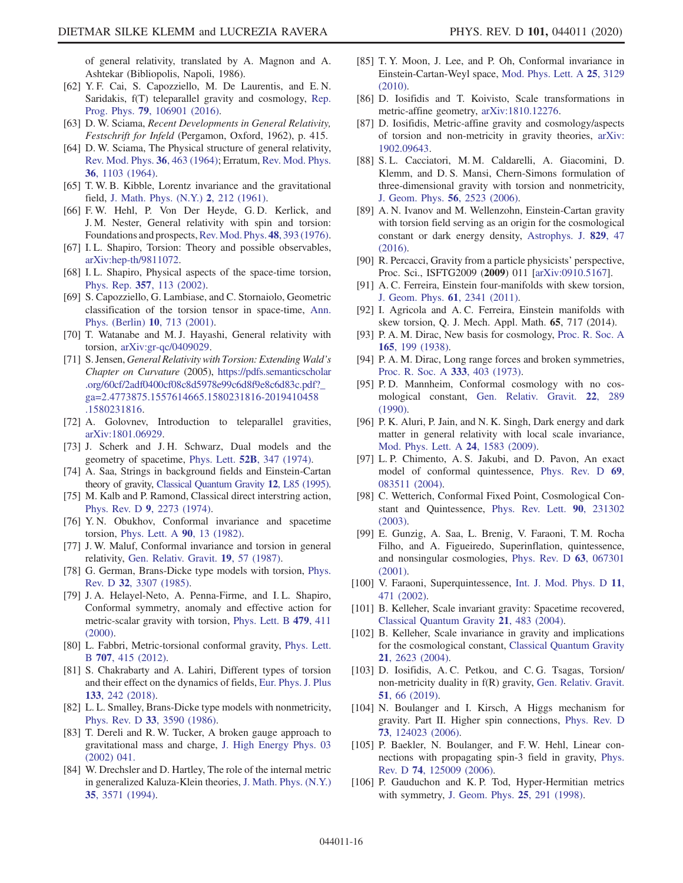of general relativity, translated by A. Magnon and A. Ashtekar (Bibliopolis, Napoli, 1986).

- [62] Y. F. Cai, S. Capozziello, M. De Laurentis, and E. N. Saridakis, f(T) teleparallel gravity and cosmology, [Rep.](https://doi.org/10.1088/0034-4885/79/10/106901) Prog. Phys. 79[, 106901 \(2016\)](https://doi.org/10.1088/0034-4885/79/10/106901).
- [63] D. W. Sciama, Recent Developments in General Relativity, Festschrift for Infeld (Pergamon, Oxford, 1962), p. 415.
- [64] D. W. Sciama, The Physical structure of general relativity, [Rev. Mod. Phys.](https://doi.org/10.1103/RevModPhys.36.463) 36, 463 (1964); Erratum, [Rev. Mod. Phys.](https://doi.org/10.1103/RevModPhys.36.1103) 36[, 1103 \(1964\)](https://doi.org/10.1103/RevModPhys.36.1103).
- [65] T. W. B. Kibble, Lorentz invariance and the gravitational field, [J. Math. Phys. \(N.Y.\)](https://doi.org/10.1063/1.1703702) 2, 212 (1961).
- [66] F. W. Hehl, P. Von Der Heyde, G. D. Kerlick, and J. M. Nester, General relativity with spin and torsion: Foundations and prospects, Rev. Mod. Phys. 48, 393 (1976).
- [67] I.L. Shapiro, Torsion: Theory and possible observables, [arXiv:hep-th/9811072](https://arXiv.org/abs/hep-th/9811072).
- [68] I. L. Shapiro, Physical aspects of the space-time torsion, Phys. Rep. 357[, 113 \(2002\)](https://doi.org/10.1016/S0370-1573(01)00030-8).
- [69] S. Capozziello, G. Lambiase, and C. Stornaiolo, Geometric classification of the torsion tensor in space-time, [Ann.](https://doi.org/10.1002/1521-3889(200108)10:8%3C713::AID-ANDP713%3E3.0.CO;2-2) [Phys. \(Berlin\)](https://doi.org/10.1002/1521-3889(200108)10:8%3C713::AID-ANDP713%3E3.0.CO;2-2) 10, 713 (2001).
- [70] T. Watanabe and M. J. Hayashi, General relativity with torsion, [arXiv:gr-qc/0409029.](https://arXiv.org/abs/gr-qc/0409029)
- [71] S. Jensen, General Relativity with Torsion: Extending Wald's Chapter on Curvature (2005), [https://pdfs.semanticscholar](https://pdfs.semanticscholar.org/60cf/2adf0400cf08c8d5978e99c6d8f9e8c6d83c.pdf?_ga=2.4773875.1557614665.1580231816-2019410458.1580231816) [.org/60cf/2adf0400cf08c8d5978e99c6d8f9e8c6d83c.pdf?\\_](https://pdfs.semanticscholar.org/60cf/2adf0400cf08c8d5978e99c6d8f9e8c6d83c.pdf?_ga=2.4773875.1557614665.1580231816-2019410458.1580231816) [ga=2.4773875.1557614665.1580231816-2019410458](https://pdfs.semanticscholar.org/60cf/2adf0400cf08c8d5978e99c6d8f9e8c6d83c.pdf?_ga=2.4773875.1557614665.1580231816-2019410458.1580231816) [.1580231816](https://pdfs.semanticscholar.org/60cf/2adf0400cf08c8d5978e99c6d8f9e8c6d83c.pdf?_ga=2.4773875.1557614665.1580231816-2019410458.1580231816).
- [72] A. Golovnev, Introduction to teleparallel gravities, [arXiv:1801.06929](https://arXiv.org/abs/1801.06929).
- [73] J. Scherk and J. H. Schwarz, Dual models and the geometry of spacetime, Phys. Lett. 52B[, 347 \(1974\)](https://doi.org/10.1016/0370-2693(74)90059-8).
- [74] A. Saa, Strings in background fields and Einstein-Cartan theory of gravity, [Classical Quantum Gravity](https://doi.org/10.1088/0264-9381/12/8/004) 12, L85 (1995).
- [75] M. Kalb and P. Ramond, Classical direct interstring action, Phys. Rev. D 9[, 2273 \(1974\).](https://doi.org/10.1103/PhysRevD.9.2273)
- [76] Y.N. Obukhov, Conformal invariance and spacetime torsion, [Phys. Lett. A](https://doi.org/10.1016/0375-9601(82)90037-8) 90, 13 (1982).
- [77] J. W. Maluf, Conformal invariance and torsion in general relativity, [Gen. Relativ. Gravit.](https://doi.org/10.1007/BF01119811) 19, 57 (1987).
- [78] G. German, Brans-Dicke type models with torsion, [Phys.](https://doi.org/10.1103/PhysRevD.32.3307) Rev. D 32[, 3307 \(1985\).](https://doi.org/10.1103/PhysRevD.32.3307)
- [79] J. A. Helayel-Neto, A. Penna-Firme, and I. L. Shapiro, Conformal symmetry, anomaly and effective action for metric-scalar gravity with torsion, [Phys. Lett. B](https://doi.org/10.1016/S0370-2693(00)00342-7) 479, 411 [\(2000\).](https://doi.org/10.1016/S0370-2693(00)00342-7)
- [80] L. Fabbri, Metric-torsional conformal gravity, [Phys. Lett.](https://doi.org/10.1016/j.physletb.2012.01.008) B 707[, 415 \(2012\).](https://doi.org/10.1016/j.physletb.2012.01.008)
- [81] S. Chakrabarty and A. Lahiri, Different types of torsion and their effect on the dynamics of fields, [Eur. Phys. J. Plus](https://doi.org/10.1140/epjp/i2018-12070-6) 133[, 242 \(2018\)](https://doi.org/10.1140/epjp/i2018-12070-6).
- [82] L. L. Smalley, Brans-Dicke type models with nonmetricity, Phys. Rev. D 33[, 3590 \(1986\).](https://doi.org/10.1103/PhysRevD.33.3590)
- [83] T. Dereli and R. W. Tucker, A broken gauge approach to gravitational mass and charge, [J. High Energy Phys. 03](https://doi.org/10.1088/1126-6708/2002/03/041) [\(2002\) 041.](https://doi.org/10.1088/1126-6708/2002/03/041)
- [84] W. Drechsler and D. Hartley, The role of the internal metric in generalized Kaluza-Klein theories, [J. Math. Phys. \(N.Y.\)](https://doi.org/10.1063/1.530430) 35[, 3571 \(1994\)](https://doi.org/10.1063/1.530430).
- [85] T. Y. Moon, J. Lee, and P. Oh, Conformal invariance in Einstein-Cartan-Weyl space, [Mod. Phys. Lett. A](https://doi.org/10.1142/S0217732310034201) 25, 3129 [\(2010\).](https://doi.org/10.1142/S0217732310034201)
- [86] D. Iosifidis and T. Koivisto, Scale transformations in metric-affine geometry, [arXiv:1810.12276.](https://arXiv.org/abs/1810.12276)
- [87] D. Iosifidis, Metric-affine gravity and cosmology/aspects of torsion and non-metricity in gravity theories, [arXiv:](https://arXiv.org/abs/1902.09643) [1902.09643.](https://arXiv.org/abs/1902.09643)
- [88] S. L. Cacciatori, M. M. Caldarelli, A. Giacomini, D. Klemm, and D. S. Mansi, Chern-Simons formulation of three-dimensional gravity with torsion and nonmetricity, [J. Geom. Phys.](https://doi.org/10.1016/j.geomphys.2006.01.006) 56, 2523 (2006).
- [89] A. N. Ivanov and M. Wellenzohn, Einstein-Cartan gravity with torsion field serving as an origin for the cosmological constant or dark energy density, [Astrophys. J.](https://doi.org/10.3847/0004-637X/829/1/47) 829, 47 [\(2016\).](https://doi.org/10.3847/0004-637X/829/1/47)
- [90] R. Percacci, Gravity from a particle physicists' perspective, Proc. Sci., ISFTG2009 (2009) 011 [\[arXiv:0910.5167](https://arXiv.org/abs/0910.5167)].
- [91] A. C. Ferreira, Einstein four-manifolds with skew torsion, [J. Geom. Phys.](https://doi.org/10.1016/j.geomphys.2011.07.009) 61, 2341 (2011).
- [92] I. Agricola and A. C. Ferreira, Einstein manifolds with skew torsion, Q. J. Mech. Appl. Math. 65, 717 (2014).
- [93] P. A. M. Dirac, New basis for cosmology, [Proc. R. Soc. A](https://doi.org/10.1098/rspa.1938.0053) 165[, 199 \(1938\)](https://doi.org/10.1098/rspa.1938.0053).
- [94] P. A. M. Dirac, Long range forces and broken symmetries, [Proc. R. Soc. A](https://doi.org/10.1098/rspa.1973.0070) 333, 403 (1973).
- [95] P. D. Mannheim, Conformal cosmology with no cosmological constant, [Gen. Relativ. Gravit.](https://doi.org/10.1007/BF00756278) 22, 289 [\(1990\).](https://doi.org/10.1007/BF00756278)
- [96] P. K. Aluri, P. Jain, and N. K. Singh, Dark energy and dark matter in general relativity with local scale invariance, [Mod. Phys. Lett. A](https://doi.org/10.1142/S0217732309030060) 24, 1583 (2009).
- [97] L. P. Chimento, A. S. Jakubi, and D. Pavon, An exact model of conformal quintessence, [Phys. Rev. D](https://doi.org/10.1103/PhysRevD.69.083511) 69, [083511 \(2004\).](https://doi.org/10.1103/PhysRevD.69.083511)
- [98] C. Wetterich, Conformal Fixed Point, Cosmological Constant and Quintessence, [Phys. Rev. Lett.](https://doi.org/10.1103/PhysRevLett.90.231302) 90, 231302 [\(2003\).](https://doi.org/10.1103/PhysRevLett.90.231302)
- [99] E. Gunzig, A. Saa, L. Brenig, V. Faraoni, T. M. Rocha Filho, and A. Figueiredo, Superinflation, quintessence, and nonsingular cosmologies, [Phys. Rev. D](https://doi.org/10.1103/PhysRevD.63.067301) 63, 067301 [\(2001\).](https://doi.org/10.1103/PhysRevD.63.067301)
- [100] V. Faraoni, Superquintessence, [Int. J. Mod. Phys. D](https://doi.org/10.1142/S0218271802001809) 11, [471 \(2002\)](https://doi.org/10.1142/S0218271802001809).
- [101] B. Kelleher, Scale invariant gravity: Spacetime recovered, [Classical Quantum Gravity](https://doi.org/10.1088/0264-9381/21/2/012) 21, 483 (2004).
- [102] B. Kelleher, Scale invariance in gravity and implications for the cosmological constant, [Classical Quantum Gravity](https://doi.org/10.1088/0264-9381/21/11/008) 21[, 2623 \(2004\)](https://doi.org/10.1088/0264-9381/21/11/008).
- [103] D. Iosifidis, A. C. Petkou, and C. G. Tsagas, Torsion/ non-metricity duality in f(R) gravity, [Gen. Relativ. Gravit.](https://doi.org/10.1007/s10714-019-2539-9) 51[, 66 \(2019\).](https://doi.org/10.1007/s10714-019-2539-9)
- [104] N. Boulanger and I. Kirsch, A Higgs mechanism for gravity. Part II. Higher spin connections, [Phys. Rev. D](https://doi.org/10.1103/PhysRevD.73.124023) 73[, 124023 \(2006\).](https://doi.org/10.1103/PhysRevD.73.124023)
- [105] P. Baekler, N. Boulanger, and F.W. Hehl, Linear connections with propagating spin-3 field in gravity, [Phys.](https://doi.org/10.1103/PhysRevD.74.125009) Rev. D 74[, 125009 \(2006\)](https://doi.org/10.1103/PhysRevD.74.125009).
- [106] P. Gauduchon and K. P. Tod, Hyper-Hermitian metrics with symmetry, [J. Geom. Phys.](https://doi.org/10.1016/S0393-0440(97)00032-6) 25, 291 (1998).